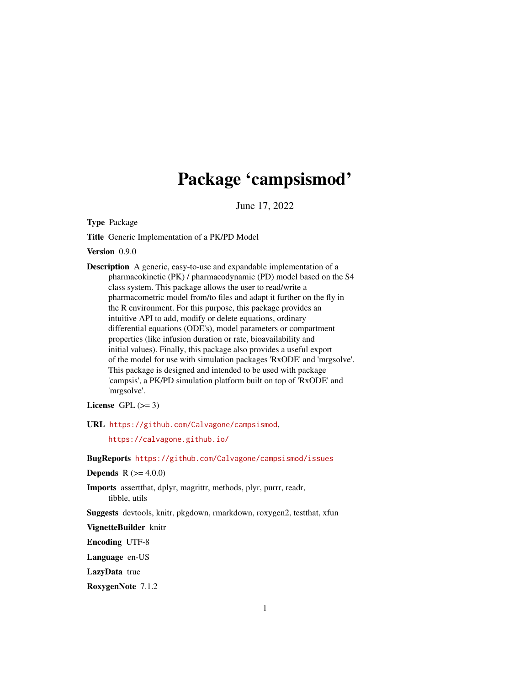# Package 'campsismod'

June 17, 2022

Type Package

Title Generic Implementation of a PK/PD Model

Version 0.9.0

Description A generic, easy-to-use and expandable implementation of a pharmacokinetic (PK) / pharmacodynamic (PD) model based on the S4 class system. This package allows the user to read/write a pharmacometric model from/to files and adapt it further on the fly in the R environment. For this purpose, this package provides an intuitive API to add, modify or delete equations, ordinary differential equations (ODE's), model parameters or compartment properties (like infusion duration or rate, bioavailability and initial values). Finally, this package also provides a useful export of the model for use with simulation packages 'RxODE' and 'mrgsolve'. This package is designed and intended to be used with package 'campsis', a PK/PD simulation platform built on top of 'RxODE' and 'mrgsolve'.

License GPL  $(>= 3)$ 

URL <https://github.com/Calvagone/campsismod>,

<https://calvagone.github.io/>

BugReports <https://github.com/Calvagone/campsismod/issues>

**Depends** R  $(>= 4.0.0)$ 

Imports assertthat, dplyr, magrittr, methods, plyr, purrr, readr, tibble, utils

Suggests devtools, knitr, pkgdown, rmarkdown, roxygen2, testthat, xfun

VignetteBuilder knitr

Encoding UTF-8

Language en-US

LazyData true

RoxygenNote 7.1.2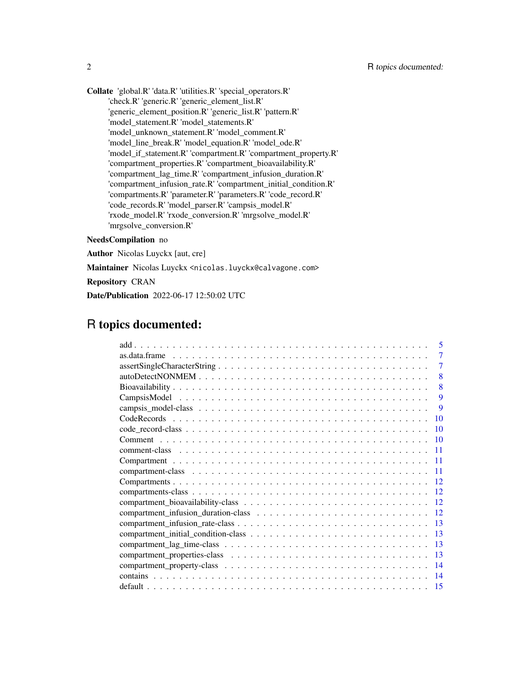Collate 'global.R' 'data.R' 'utilities.R' 'special\_operators.R' 'check.R' 'generic.R' 'generic\_element\_list.R' 'generic\_element\_position.R' 'generic\_list.R' 'pattern.R' 'model\_statement.R' 'model\_statements.R' 'model\_unknown\_statement.R' 'model\_comment.R' 'model\_line\_break.R' 'model\_equation.R' 'model\_ode.R' 'model\_if\_statement.R' 'compartment.R' 'compartment\_property.R' 'compartment\_properties.R' 'compartment\_bioavailability.R' 'compartment\_lag\_time.R' 'compartment\_infusion\_duration.R' 'compartment\_infusion\_rate.R' 'compartment\_initial\_condition.R' 'compartments.R' 'parameter.R' 'parameters.R' 'code\_record.R' 'code\_records.R' 'model\_parser.R' 'campsis\_model.R' 'rxode\_model.R' 'rxode\_conversion.R' 'mrgsolve\_model.R' 'mrgsolve\_conversion.R'

#### NeedsCompilation no

Author Nicolas Luyckx [aut, cre]

Maintainer Nicolas Luyckx <nicolas.luyckx@calvagone.com>

Repository CRAN

Date/Publication 2022-06-17 12:50:02 UTC

# R topics documented:

| 5     |
|-------|
| 7     |
| 7     |
| 8     |
| 8     |
| 9     |
| 9     |
| 10    |
| 10    |
| 10    |
| 11    |
| -11   |
| -11   |
|       |
|       |
| -12   |
| $-12$ |
| 13    |
| -13   |
| 13    |
| 13    |
| -14   |
| -14   |
| 15    |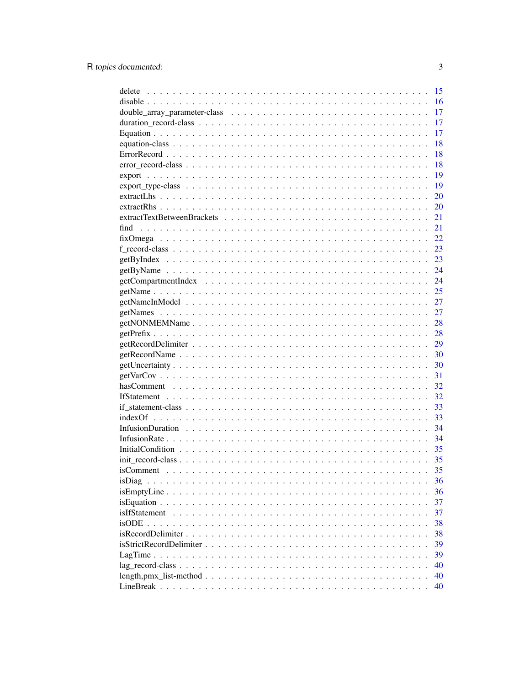| delete                                                                                                                                            | 15 |
|---------------------------------------------------------------------------------------------------------------------------------------------------|----|
|                                                                                                                                                   | 16 |
|                                                                                                                                                   | 17 |
|                                                                                                                                                   | 17 |
|                                                                                                                                                   | 17 |
|                                                                                                                                                   | 18 |
|                                                                                                                                                   | 18 |
|                                                                                                                                                   | 18 |
|                                                                                                                                                   | 19 |
|                                                                                                                                                   | 19 |
|                                                                                                                                                   | 20 |
|                                                                                                                                                   | 20 |
|                                                                                                                                                   | 21 |
| find                                                                                                                                              | 21 |
|                                                                                                                                                   | 22 |
|                                                                                                                                                   | 23 |
|                                                                                                                                                   | 23 |
|                                                                                                                                                   | 24 |
|                                                                                                                                                   | 24 |
|                                                                                                                                                   | 25 |
|                                                                                                                                                   | 27 |
|                                                                                                                                                   | 27 |
|                                                                                                                                                   | 28 |
|                                                                                                                                                   | 28 |
|                                                                                                                                                   | 29 |
|                                                                                                                                                   | 30 |
|                                                                                                                                                   | 30 |
|                                                                                                                                                   | 31 |
|                                                                                                                                                   | 32 |
|                                                                                                                                                   | 32 |
|                                                                                                                                                   | 33 |
|                                                                                                                                                   | 33 |
|                                                                                                                                                   | 34 |
|                                                                                                                                                   | 34 |
|                                                                                                                                                   | 35 |
|                                                                                                                                                   | 35 |
|                                                                                                                                                   | 35 |
| isDiag                                                                                                                                            | 36 |
| $isEmptyLine \dots \dots \dots \dots \dots \dots \dots \dots \dots \dots \dots \dots \dots \dots \dots$                                           | 36 |
|                                                                                                                                                   | 37 |
| isIfStatement                                                                                                                                     | 37 |
|                                                                                                                                                   | 38 |
|                                                                                                                                                   | 38 |
| is Strict Record Delimiter $\ldots$ , $\ldots$ , $\ldots$ , $\ldots$ , $\ldots$ , $\ldots$ , $\ldots$ , $\ldots$ , $\ldots$ , $\ldots$ , $\ldots$ | 39 |
|                                                                                                                                                   | 39 |
|                                                                                                                                                   | 40 |
|                                                                                                                                                   | 40 |
|                                                                                                                                                   | 40 |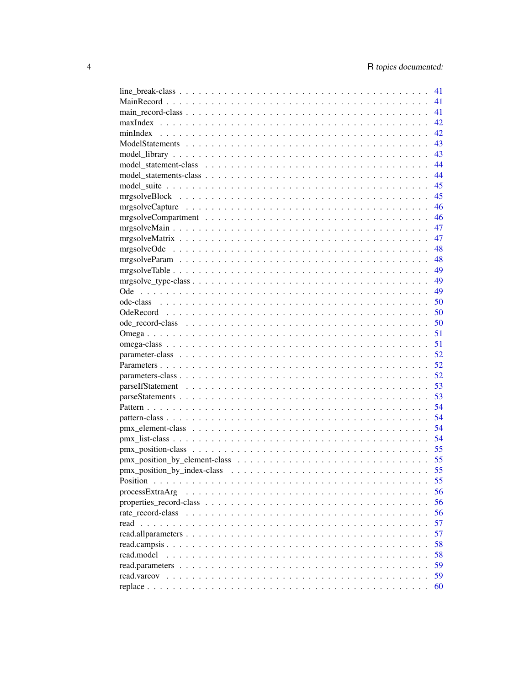|                                                                                                            | 41 |
|------------------------------------------------------------------------------------------------------------|----|
|                                                                                                            | 41 |
|                                                                                                            | 41 |
|                                                                                                            | 42 |
|                                                                                                            | 42 |
|                                                                                                            | 43 |
|                                                                                                            | 43 |
|                                                                                                            | 44 |
|                                                                                                            | 44 |
|                                                                                                            | 45 |
|                                                                                                            | 45 |
|                                                                                                            | 46 |
|                                                                                                            | 46 |
|                                                                                                            | 47 |
|                                                                                                            | 47 |
|                                                                                                            | 48 |
|                                                                                                            | 48 |
|                                                                                                            | 49 |
|                                                                                                            | 49 |
|                                                                                                            | 49 |
|                                                                                                            | 50 |
|                                                                                                            | 50 |
|                                                                                                            | 50 |
|                                                                                                            | 51 |
|                                                                                                            | 51 |
|                                                                                                            | 52 |
|                                                                                                            | 52 |
|                                                                                                            | 52 |
|                                                                                                            | 53 |
|                                                                                                            | 53 |
|                                                                                                            | 54 |
|                                                                                                            | 54 |
|                                                                                                            | 54 |
|                                                                                                            | 54 |
|                                                                                                            | 55 |
|                                                                                                            | 55 |
| pmx position by index-class $\ldots \ldots \ldots \ldots \ldots \ldots \ldots \ldots \ldots \ldots \ldots$ | 55 |
|                                                                                                            | 55 |
| processExtraArg                                                                                            | 56 |
|                                                                                                            | 56 |
|                                                                                                            | 56 |
|                                                                                                            | 57 |
|                                                                                                            | 57 |
|                                                                                                            | 58 |
| read.model                                                                                                 | 58 |
|                                                                                                            |    |
|                                                                                                            | 59 |
|                                                                                                            | 59 |
|                                                                                                            | 60 |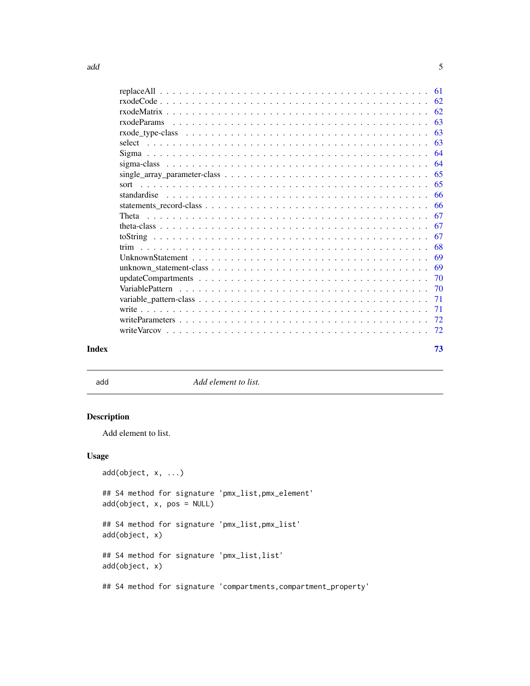<span id="page-4-0"></span>

|       | - 68 |
|-------|------|
|       |      |
|       |      |
|       |      |
|       |      |
|       |      |
|       |      |
|       |      |
|       |      |
| Index | 73   |

add *Add element to list.*

# Description

Add element to list.

# Usage

```
add(object, x, ...)
## S4 method for signature 'pmx_list,pmx_element'
add(object, x, pos = NULL)
## S4 method for signature 'pmx_list,pmx_list'
add(object, x)
## S4 method for signature 'pmx_list,list'
add(object, x)
## S4 method for signature 'compartments, compartment_property'
```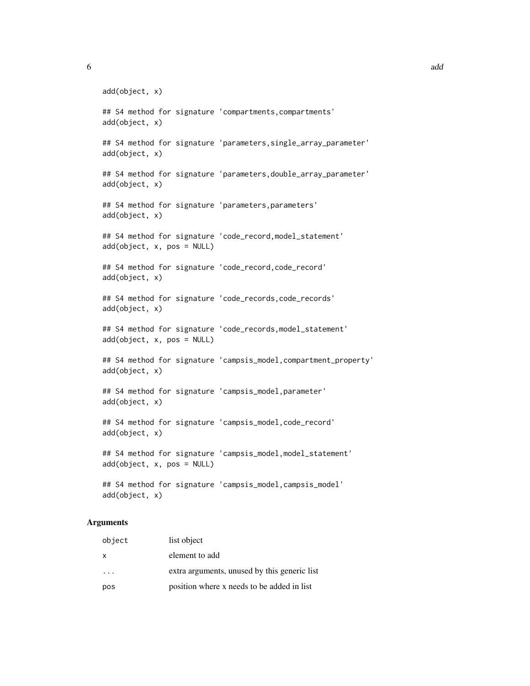```
add(object, x)
## S4 method for signature 'compartments, compartments'
add(object, x)
## S4 method for signature 'parameters, single_array_parameter'
add(object, x)
## S4 method for signature 'parameters,double_array_parameter'
add(object, x)
## S4 method for signature 'parameters,parameters'
add(object, x)
## S4 method for signature 'code_record, model_statement'
add(object, x, pos = NULL)
## S4 method for signature 'code_record,code_record'
add(object, x)
## S4 method for signature 'code_records, code_records'
add(object, x)
## S4 method for signature 'code_records, model_statement'
add(object, x, pos = NULL)
## S4 method for signature 'campsis_model, compartment_property'
add(object, x)
## S4 method for signature 'campsis_model, parameter'
add(object, x)
## S4 method for signature 'campsis_model,code_record'
add(object, x)
## S4 method for signature 'campsis_model,model_statement'
add(object, x, pos = NULL)## S4 method for signature 'campsis_model,campsis_model'
add(object, x)
```
#### **Arguments**

| object | list object                                  |
|--------|----------------------------------------------|
| X      | element to add                               |
| .      | extra arguments, unused by this generic list |
| pos    | position where x needs to be added in list   |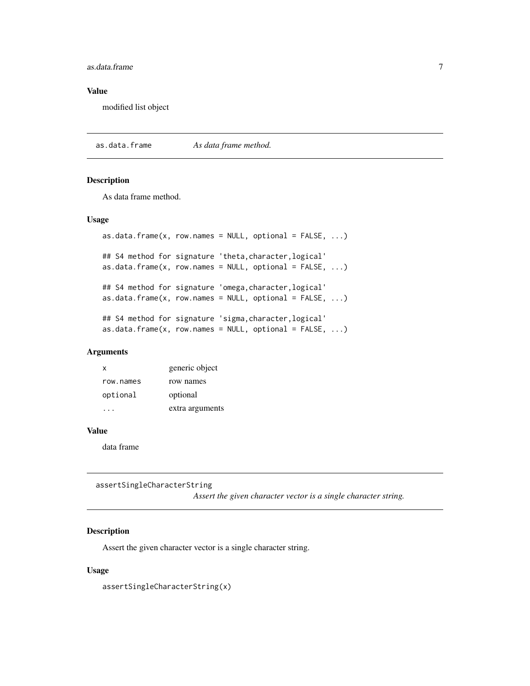#### <span id="page-6-0"></span>as.data.frame 7

#### Value

modified list object

as.data.frame *As data frame method.*

#### Description

As data frame method.

#### Usage

```
as.data.frame(x, row.names = NULL, optional = FALSE, ...)
## S4 method for signature 'theta,character,logical'
as.data.frame(x, row.names = NULL, optional = FALSE, ...)
## S4 method for signature 'omega,character,logical'
as.data.frame(x, row.name = NULL, optional = FALSE, ...)## S4 method for signature 'sigma,character,logical'
as.data.frame(x, row.names = NULL, optional = FALSE, ...)
```
# Arguments

| x         | generic object  |
|-----------|-----------------|
| row.names | row names       |
| optional  | optional        |
|           | extra arguments |

#### Value

data frame

assertSingleCharacterString

*Assert the given character vector is a single character string.*

# Description

Assert the given character vector is a single character string.

#### Usage

assertSingleCharacterString(x)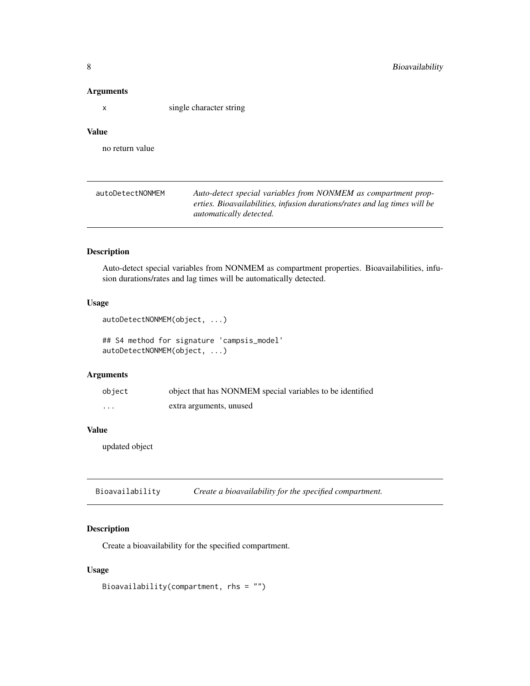#### Arguments

x single character string

# Value

no return value

| autoDetectNONMEM | Auto-detect special variables from NONMEM as compartment prop-            |
|------------------|---------------------------------------------------------------------------|
|                  | erties. Bioavailabilities, infusion durations/rates and lag times will be |
|                  | <i>automatically detected.</i>                                            |

# Description

Auto-detect special variables from NONMEM as compartment properties. Bioavailabilities, infusion durations/rates and lag times will be automatically detected.

# Usage

```
autoDetectNONMEM(object, ...)
```

```
## S4 method for signature 'campsis_model'
autoDetectNONMEM(object, ...)
```
#### Arguments

| object   | object that has NONMEM special variables to be identified |
|----------|-----------------------------------------------------------|
| $\cdots$ | extra arguments, unused                                   |

#### Value

updated object

Bioavailability *Create a bioavailability for the specified compartment.*

#### Description

Create a bioavailability for the specified compartment.

# Usage

```
Bioavailability(compartment, rhs = "")
```
<span id="page-7-0"></span>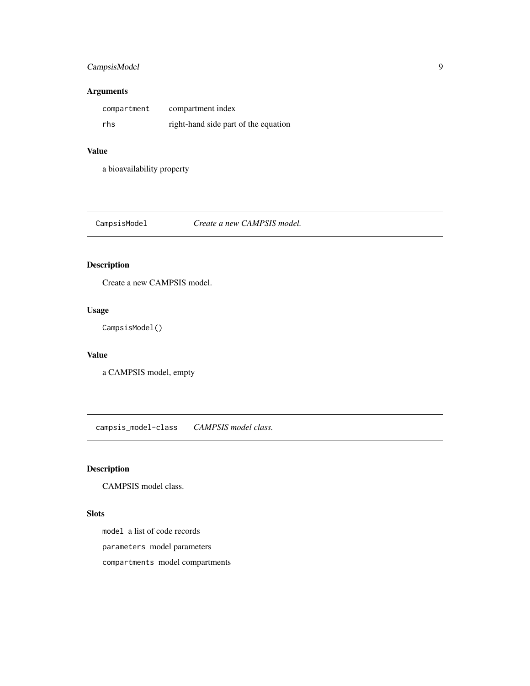# <span id="page-8-0"></span>CampsisModel 9

# Arguments

| compartment | compartment index                    |
|-------------|--------------------------------------|
| rhs         | right-hand side part of the equation |

#### Value

a bioavailability property

CampsisModel *Create a new CAMPSIS model.*

# Description

Create a new CAMPSIS model.

# Usage

CampsisModel()

#### Value

a CAMPSIS model, empty

campsis\_model-class *CAMPSIS model class.*

# Description

CAMPSIS model class.

# Slots

model a list of code records

parameters model parameters

compartments model compartments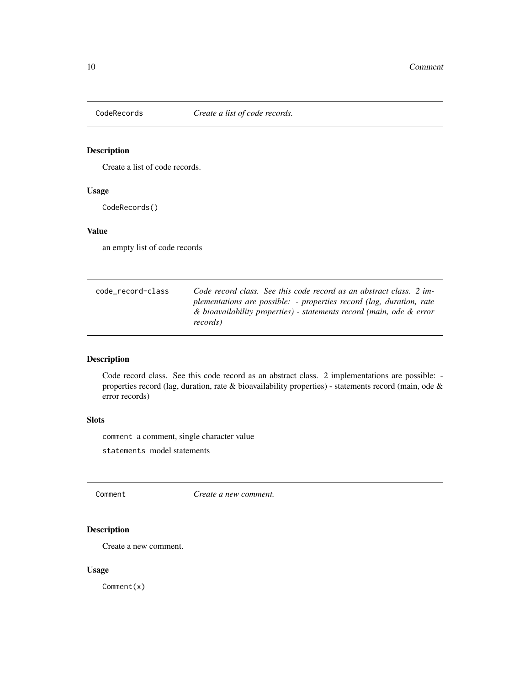<span id="page-9-0"></span>

Create a list of code records.

# Usage

CodeRecords()

#### Value

an empty list of code records

| code record-class | Code record class. See this code record as an abstract class. 2 im-  |
|-------------------|----------------------------------------------------------------------|
|                   | plementations are possible: - properties record (lag, duration, rate |
|                   | & bioavailability properties) - statements record (main, ode & error |
|                   | records)                                                             |

# Description

Code record class. See this code record as an abstract class. 2 implementations are possible: properties record (lag, duration, rate & bioavailability properties) - statements record (main, ode & error records)

# Slots

comment a comment, single character value

statements model statements

Comment *Create a new comment.*

# Description

Create a new comment.

# Usage

Comment(x)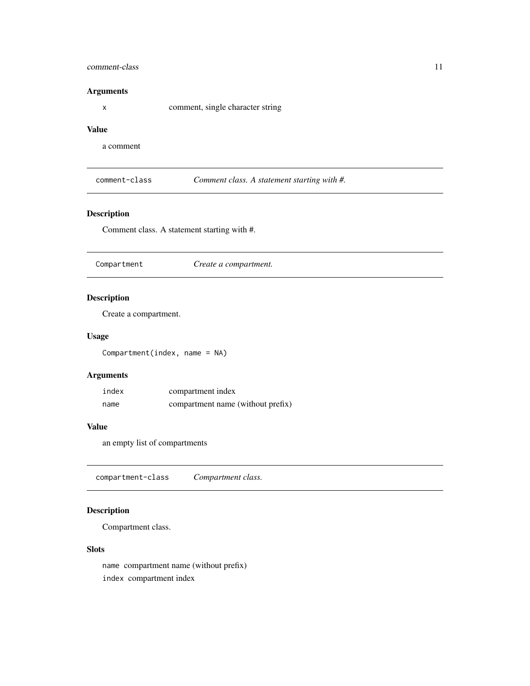#### <span id="page-10-0"></span>comment-class 11

#### Arguments

x comment, single character string

# Value

a comment

comment-class *Comment class. A statement starting with #.*

# Description

Comment class. A statement starting with #.

Compartment *Create a compartment.*

# Description

Create a compartment.

# Usage

Compartment(index, name = NA)

# Arguments

| index | compartment index                 |
|-------|-----------------------------------|
| name  | compartment name (without prefix) |

# Value

an empty list of compartments

compartment-class *Compartment class.*

# Description

Compartment class.

#### **Slots**

name compartment name (without prefix) index compartment index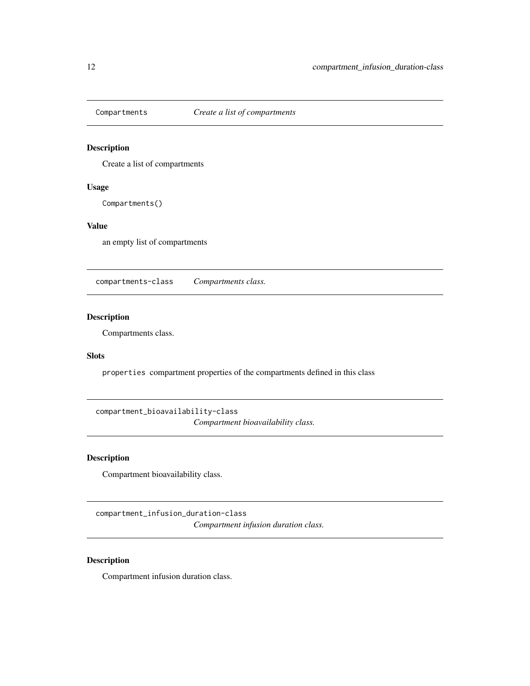<span id="page-11-0"></span>

Create a list of compartments

#### Usage

Compartments()

# Value

an empty list of compartments

compartments-class *Compartments class.*

# Description

Compartments class.

#### Slots

properties compartment properties of the compartments defined in this class

compartment\_bioavailability-class

*Compartment bioavailability class.*

# Description

Compartment bioavailability class.

compartment\_infusion\_duration-class *Compartment infusion duration class.*

# Description

Compartment infusion duration class.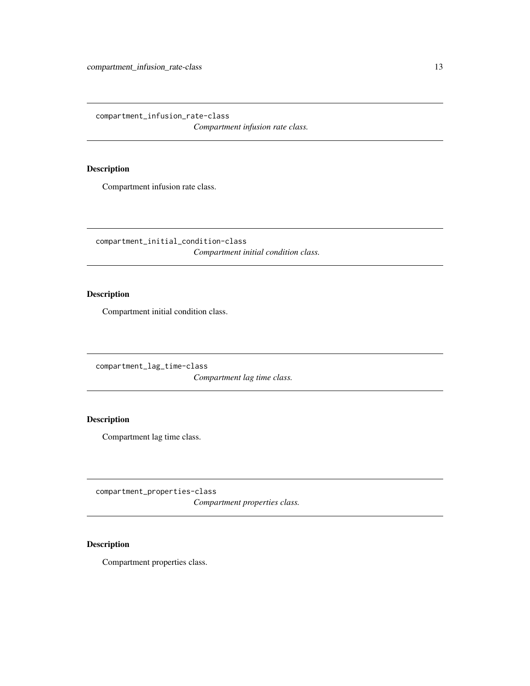<span id="page-12-0"></span>compartment\_infusion\_rate-class

*Compartment infusion rate class.*

# Description

Compartment infusion rate class.

compartment\_initial\_condition-class *Compartment initial condition class.*

# Description

Compartment initial condition class.

compartment\_lag\_time-class

*Compartment lag time class.*

# Description

Compartment lag time class.

compartment\_properties-class *Compartment properties class.*

# Description

Compartment properties class.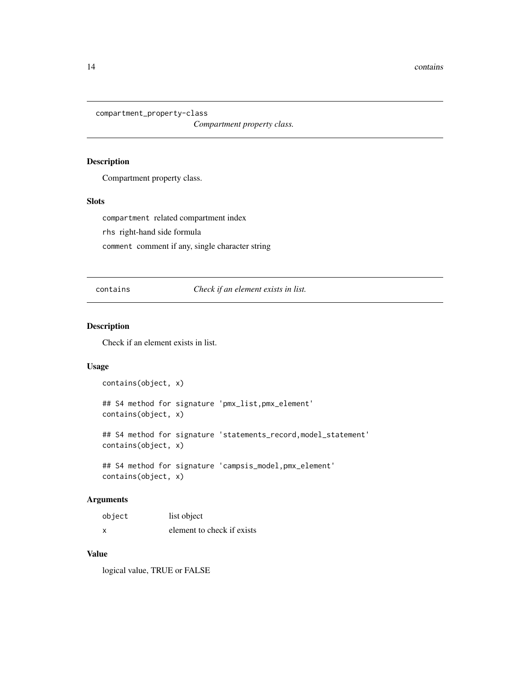<span id="page-13-0"></span>compartment\_property-class

*Compartment property class.*

#### Description

Compartment property class.

#### Slots

compartment related compartment index rhs right-hand side formula comment comment if any, single character string

contains *Check if an element exists in list.*

#### Description

Check if an element exists in list.

# Usage

```
contains(object, x)
## S4 method for signature 'pmx_list,pmx_element'
contains(object, x)
## S4 method for signature 'statements_record, model_statement'
contains(object, x)
## S4 method for signature 'campsis_model,pmx_element'
contains(object, x)
```
#### Arguments

| object | list object                |
|--------|----------------------------|
| x      | element to check if exists |

# Value

logical value, TRUE or FALSE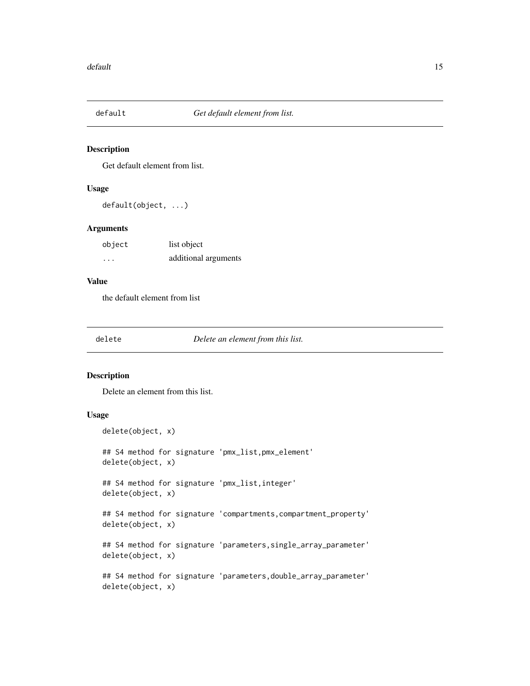<span id="page-14-0"></span>

Get default element from list.

#### Usage

default(object, ...)

#### Arguments

| object   | list object          |
|----------|----------------------|
| $\cdots$ | additional arguments |

# Value

the default element from list

delete *Delete an element from this list.*

#### Description

Delete an element from this list.

#### Usage

delete(object, x) ## S4 method for signature 'pmx\_list,pmx\_element' delete(object, x) ## S4 method for signature 'pmx\_list,integer' delete(object, x) ## S4 method for signature 'compartments, compartment\_property' delete(object, x) ## S4 method for signature 'parameters, single\_array\_parameter' delete(object, x) ## S4 method for signature 'parameters,double\_array\_parameter'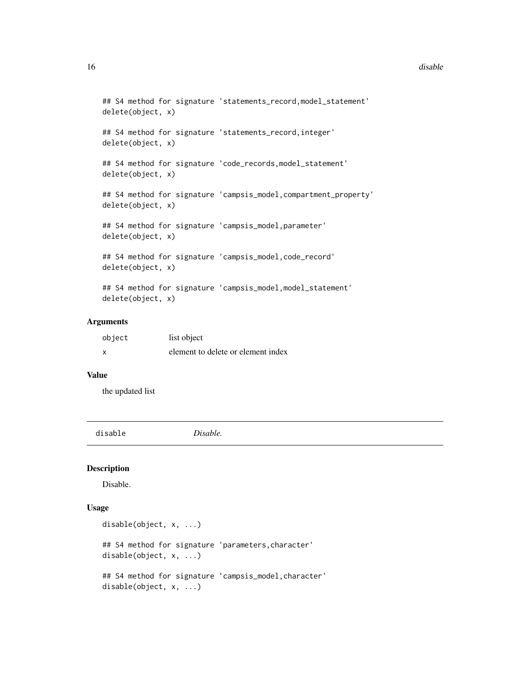#### <span id="page-15-0"></span>16 disable disable disable disable disable disable disable disable disable disable disable disable disable disable disable disable disable disable disable disable disable disable disable disable disable disable disable dis

```
## S4 method for signature 'statements_record,model_statement'
delete(object, x)
## S4 method for signature 'statements_record,integer'
delete(object, x)
## S4 method for signature 'code_records, model_statement'
delete(object, x)
## S4 method for signature 'campsis_model,compartment_property'
delete(object, x)
## S4 method for signature 'campsis_model,parameter'
delete(object, x)
## S4 method for signature 'campsis_model,code_record'
delete(object, x)
```
## S4 method for signature 'campsis\_model,model\_statement' delete(object, x)

## Arguments

| object | list object                        |
|--------|------------------------------------|
| x      | element to delete or element index |

#### Value

the updated list

disable *Disable.*

#### Description

Disable.

#### Usage

```
disable(object, x, ...)
## S4 method for signature 'parameters,character'
disable(object, x, ...)
## S4 method for signature 'campsis_model, character'
disable(object, x, ...)
```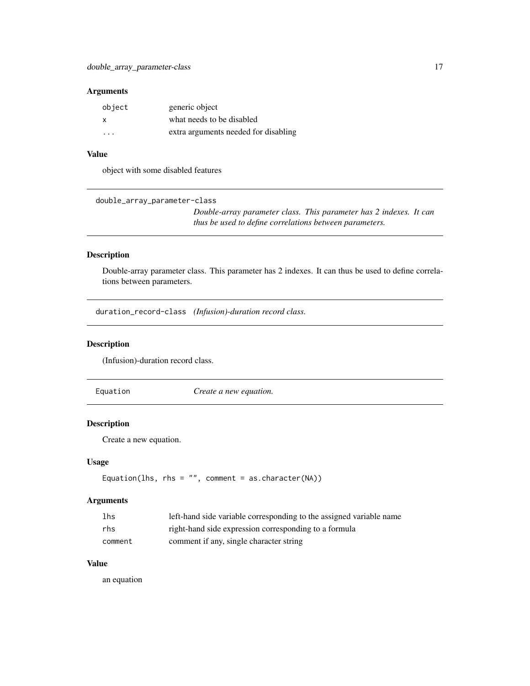#### <span id="page-16-0"></span>Arguments

| object                  | generic object                       |
|-------------------------|--------------------------------------|
| x                       | what needs to be disabled            |
| $\cdot$ $\cdot$ $\cdot$ | extra arguments needed for disabling |

# Value

object with some disabled features

double\_array\_parameter-class

*Double-array parameter class. This parameter has 2 indexes. It can thus be used to define correlations between parameters.*

#### Description

Double-array parameter class. This parameter has 2 indexes. It can thus be used to define correlations between parameters.

duration\_record-class *(Infusion)-duration record class.*

#### Description

(Infusion)-duration record class.

Equation *Create a new equation.*

# Description

Create a new equation.

#### Usage

```
Equation(lhs, rhs = ", comment = as.character(NA))
```
#### Arguments

| lhs     | left-hand side variable corresponding to the assigned variable name |
|---------|---------------------------------------------------------------------|
| rhs     | right-hand side expression corresponding to a formula               |
| comment | comment if any, single character string                             |

# Value

an equation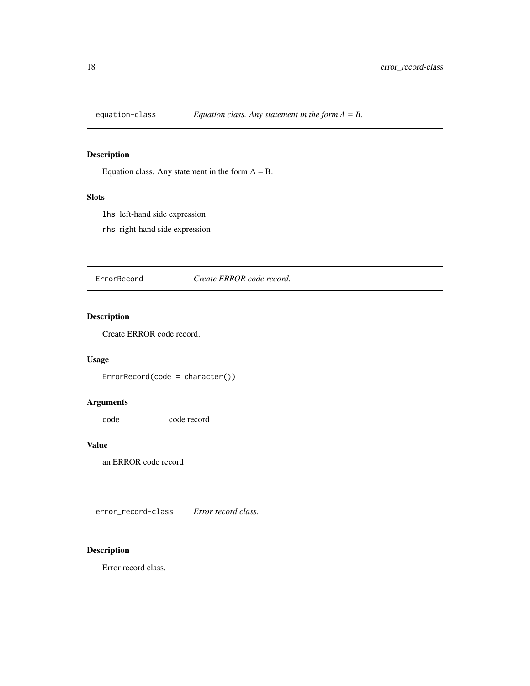<span id="page-17-0"></span>

Equation class. Any statement in the form  $A = B$ .

# Slots

lhs left-hand side expression

rhs right-hand side expression

ErrorRecord *Create ERROR code record.*

# Description

Create ERROR code record.

# Usage

ErrorRecord(code = character())

# Arguments

code code record

#### Value

an ERROR code record

error\_record-class *Error record class.*

# Description

Error record class.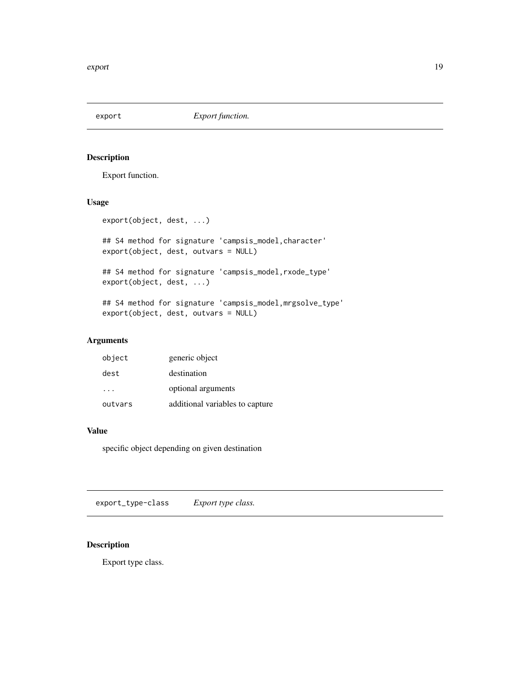<span id="page-18-0"></span>

Export function.

#### Usage

export(object, dest, ...)

## S4 method for signature 'campsis\_model,character' export(object, dest, outvars = NULL)

```
## S4 method for signature 'campsis_model,rxode_type'
export(object, dest, ...)
```
## S4 method for signature 'campsis\_model,mrgsolve\_type' export(object, dest, outvars = NULL)

#### Arguments

| object  | generic object                  |
|---------|---------------------------------|
| dest    | destination                     |
|         | optional arguments              |
| outvars | additional variables to capture |

#### Value

specific object depending on given destination

export\_type-class *Export type class.*

# Description

Export type class.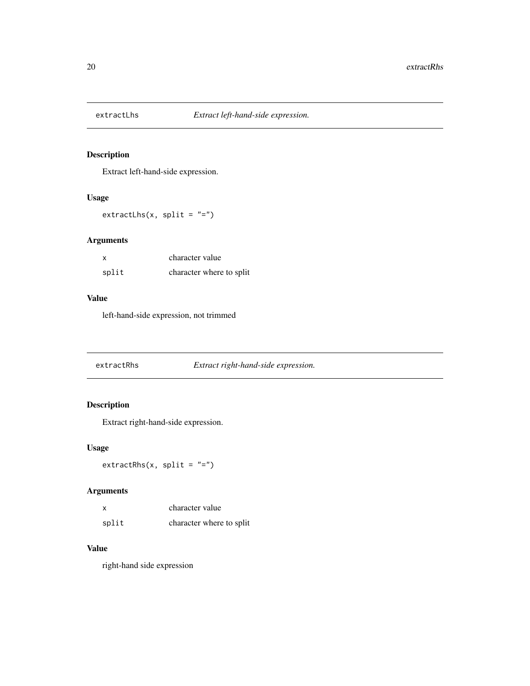<span id="page-19-0"></span>

Extract left-hand-side expression.

# Usage

 $extractLhs(x, split = ''='')$ 

# Arguments

| X     | character value          |
|-------|--------------------------|
| split | character where to split |

# Value

left-hand-side expression, not trimmed

extractRhs *Extract right-hand-side expression.*

# Description

Extract right-hand-side expression.

# Usage

 $extractRhs(x, split = "-")$ 

# Arguments

| X     | character value          |
|-------|--------------------------|
| split | character where to split |

#### Value

right-hand side expression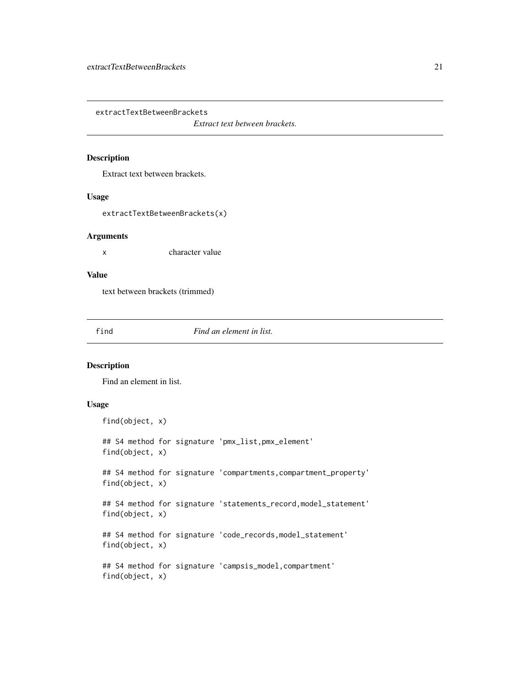<span id="page-20-0"></span>extractTextBetweenBrackets

*Extract text between brackets.*

#### Description

Extract text between brackets.

#### Usage

extractTextBetweenBrackets(x)

#### Arguments

x character value

# Value

text between brackets (trimmed)

find *Find an element in list.*

#### Description

Find an element in list.

# Usage

```
find(object, x)
## S4 method for signature 'pmx_list,pmx_element'
find(object, x)
## S4 method for signature 'compartments, compartment_property'
find(object, x)
## S4 method for signature 'statements_record,model_statement'
find(object, x)
## S4 method for signature 'code_records, model_statement'
find(object, x)
## S4 method for signature 'campsis_model,compartment'
find(object, x)
```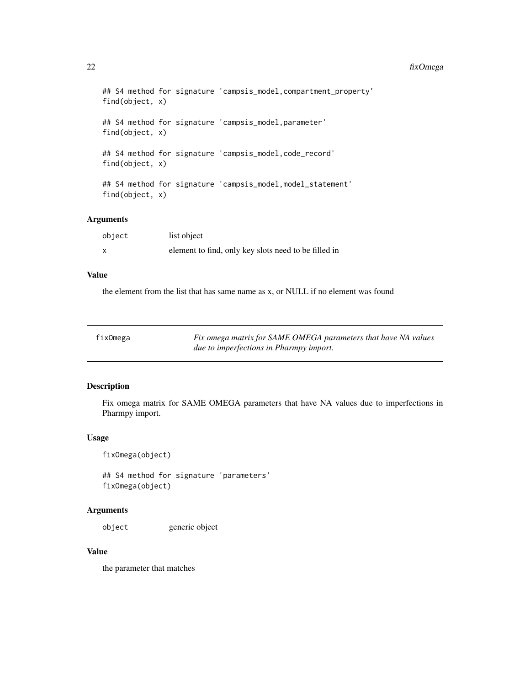#### 22 fixOmega and the state of the state of the state of the state of the state of the state of the state of the state of the state of the state of the state of the state of the state of the state of the state of the state o

```
## S4 method for signature 'campsis_model, compartment_property'
find(object, x)
## S4 method for signature 'campsis_model,parameter'
find(object, x)
## S4 method for signature 'campsis_model,code_record'
find(object, x)
## S4 method for signature 'campsis_model,model_statement'
find(object, x)
```
# Arguments

| object                    | list object                                          |
|---------------------------|------------------------------------------------------|
| $\boldsymbol{\mathsf{x}}$ | element to find, only key slots need to be filled in |

#### Value

the element from the list that has same name as x, or NULL if no element was found

| fixOmega | Fix omega matrix for SAME OMEGA parameters that have NA values |
|----------|----------------------------------------------------------------|
|          | <i>due to imperfections in Pharmpy import.</i>                 |

# Description

Fix omega matrix for SAME OMEGA parameters that have NA values due to imperfections in Pharmpy import.

#### Usage

fixOmega(object)

## S4 method for signature 'parameters' fixOmega(object)

# Arguments

object generic object

#### Value

the parameter that matches

<span id="page-21-0"></span>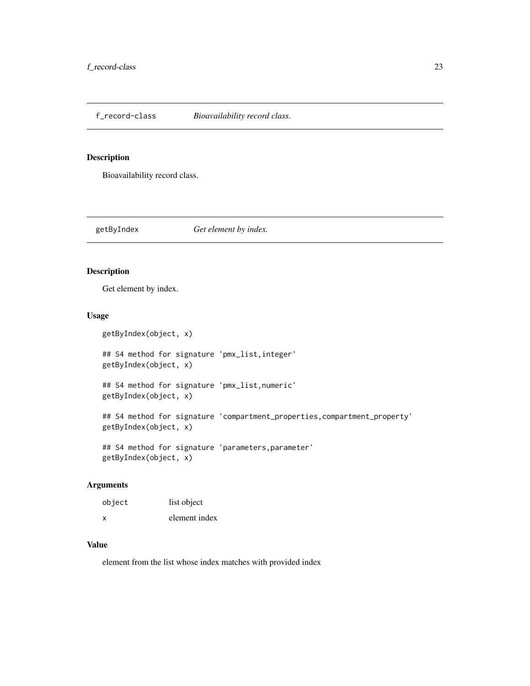<span id="page-22-0"></span>f\_record-class *Bioavailability record class.*

#### Description

Bioavailability record class.

getByIndex *Get element by index.*

# Description

Get element by index.

#### Usage

getByIndex(object, x) ## S4 method for signature 'pmx\_list,integer'

getByIndex(object, x) ## S4 method for signature 'pmx\_list,numeric'

getByIndex(object, x)

## S4 method for signature 'compartment\_properties,compartment\_property' getByIndex(object, x)

## S4 method for signature 'parameters, parameter' getByIndex(object, x)

# Arguments

| object | list object   |
|--------|---------------|
| x      | element index |

# Value

element from the list whose index matches with provided index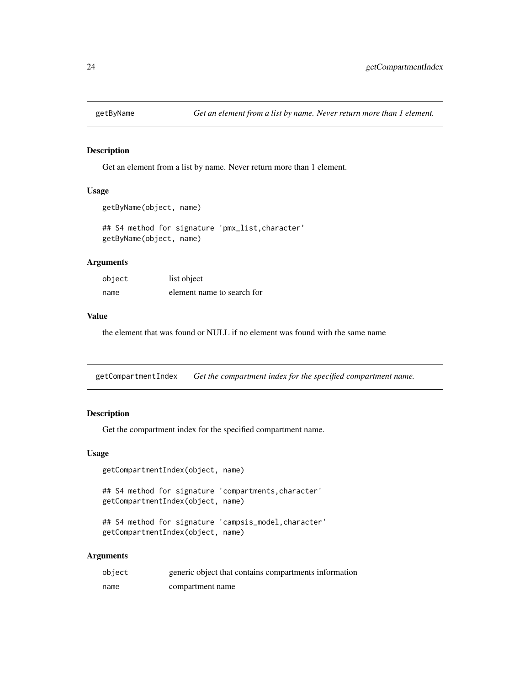<span id="page-23-0"></span>

Get an element from a list by name. Never return more than 1 element.

#### Usage

```
getByName(object, name)
```
## S4 method for signature 'pmx\_list,character' getByName(object, name)

#### Arguments

| object | list object                |
|--------|----------------------------|
| name   | element name to search for |

#### Value

the element that was found or NULL if no element was found with the same name

getCompartmentIndex *Get the compartment index for the specified compartment name.*

#### Description

Get the compartment index for the specified compartment name.

#### Usage

getCompartmentIndex(object, name)

## S4 method for signature 'compartments, character' getCompartmentIndex(object, name)

## S4 method for signature 'campsis\_model,character' getCompartmentIndex(object, name)

#### Arguments

| object | generic object that contains compartments information |
|--------|-------------------------------------------------------|
| name   | compartment name                                      |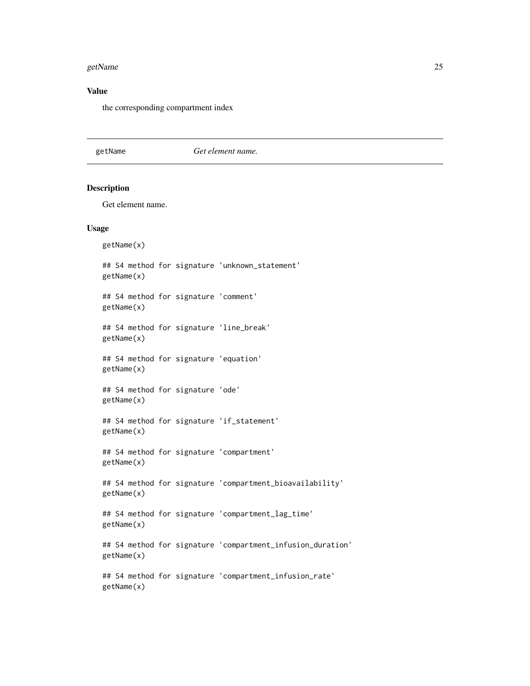#### <span id="page-24-0"></span>getName 25

# Value

the corresponding compartment index

#### getName *Get element name.*

# Description

Get element name.

#### Usage

getName(x) ## S4 method for signature 'unknown\_statement' getName(x) ## S4 method for signature 'comment' getName(x) ## S4 method for signature 'line\_break' getName(x) ## S4 method for signature 'equation' getName(x) ## S4 method for signature 'ode' getName(x) ## S4 method for signature 'if\_statement' getName(x) ## S4 method for signature 'compartment' getName(x) ## S4 method for signature 'compartment\_bioavailability' getName(x) ## S4 method for signature 'compartment\_lag\_time' getName(x) ## S4 method for signature 'compartment\_infusion\_duration' getName(x) ## S4 method for signature 'compartment\_infusion\_rate' getName(x)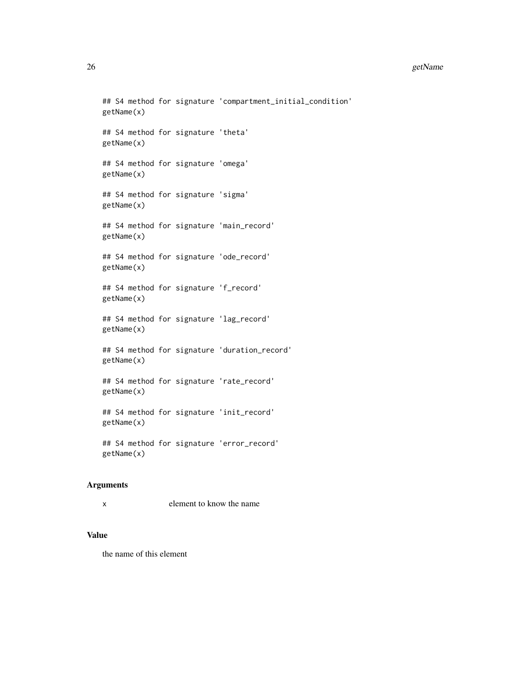#### 26 getName

```
## S4 method for signature 'compartment_initial_condition'
getName(x)
## S4 method for signature 'theta'
getName(x)
## S4 method for signature 'omega'
getName(x)
## S4 method for signature 'sigma'
getName(x)
## S4 method for signature 'main_record'
getName(x)
## S4 method for signature 'ode_record'
getName(x)
## S4 method for signature 'f_record'
getName(x)
## S4 method for signature 'lag_record'
getName(x)
## S4 method for signature 'duration_record'
getName(x)
## S4 method for signature 'rate_record'
getName(x)
## S4 method for signature 'init_record'
getName(x)
## S4 method for signature 'error_record'
getName(x)
```
# Arguments

```
x element to know the name
```
#### Value

the name of this element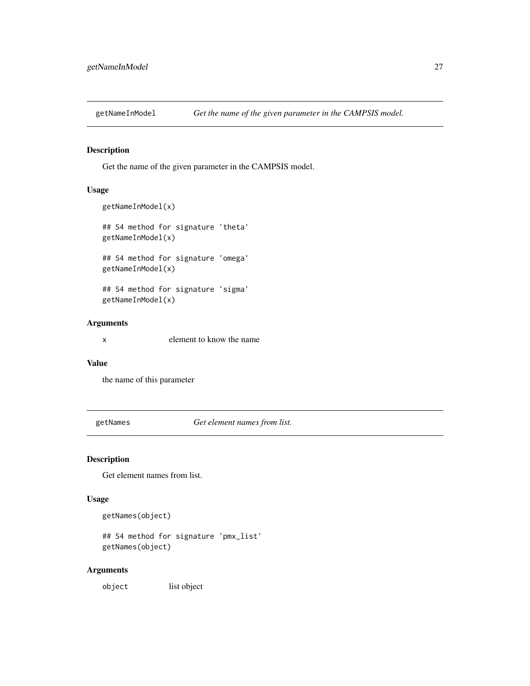<span id="page-26-0"></span>

Get the name of the given parameter in the CAMPSIS model.

# Usage

```
getNameInModel(x)
## S4 method for signature 'theta'
getNameInModel(x)
## S4 method for signature 'omega'
getNameInModel(x)
## S4 method for signature 'sigma'
getNameInModel(x)
```
# Arguments

x element to know the name

#### Value

the name of this parameter

getNames *Get element names from list.*

#### Description

Get element names from list.

# Usage

```
getNames(object)
```
## S4 method for signature 'pmx\_list' getNames(object)

# Arguments

object list object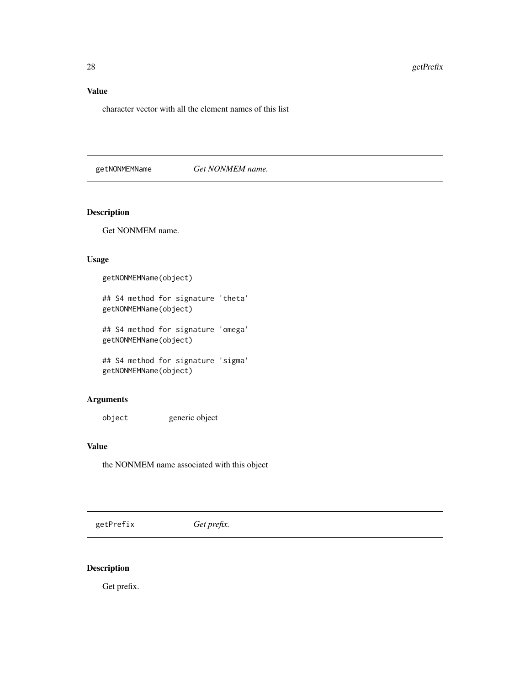# <span id="page-27-0"></span>Value

character vector with all the element names of this list

getNONMEMName *Get NONMEM name.*

# Description

Get NONMEM name.

# Usage

getNONMEMName(object)

## S4 method for signature 'theta' getNONMEMName(object)

## S4 method for signature 'omega' getNONMEMName(object)

## S4 method for signature 'sigma' getNONMEMName(object)

# Arguments

object generic object

#### Value

the NONMEM name associated with this object

getPrefix *Get prefix.*

# Description

Get prefix.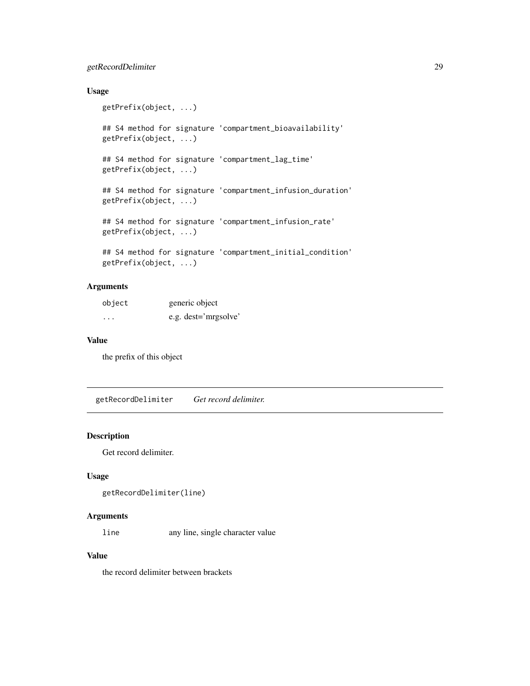# <span id="page-28-0"></span>getRecordDelimiter 29

# Usage

```
getPrefix(object, ...)
## S4 method for signature 'compartment_bioavailability'
getPrefix(object, ...)
## S4 method for signature 'compartment_lag_time'
getPrefix(object, ...)
## S4 method for signature 'compartment_infusion_duration'
getPrefix(object, ...)
## S4 method for signature 'compartment_infusion_rate'
getPrefix(object, ...)
## S4 method for signature 'compartment_initial_condition'
getPrefix(object, ...)
```
# Arguments

| object   | generic object       |
|----------|----------------------|
| $\cdots$ | e.g. dest='mrgsolve' |

#### Value

the prefix of this object

getRecordDelimiter *Get record delimiter.*

# Description

Get record delimiter.

# Usage

```
getRecordDelimiter(line)
```
#### Arguments

line any line, single character value

#### Value

the record delimiter between brackets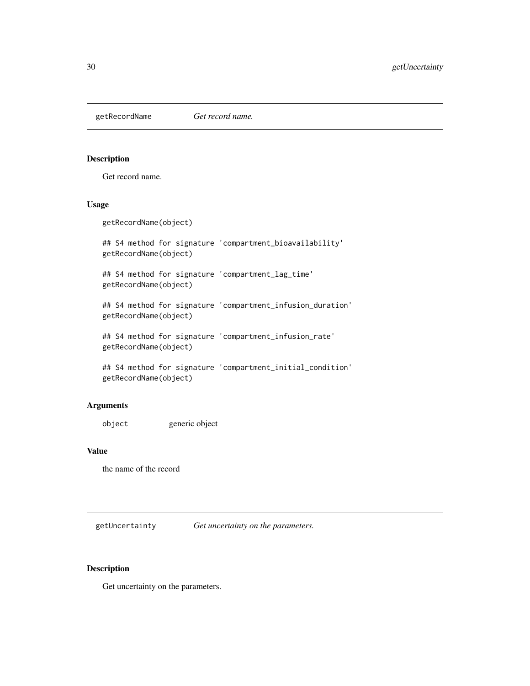<span id="page-29-0"></span>getRecordName *Get record name.*

#### Description

Get record name.

# Usage

getRecordName(object)

## S4 method for signature 'compartment\_bioavailability' getRecordName(object)

## S4 method for signature 'compartment\_lag\_time' getRecordName(object)

## S4 method for signature 'compartment\_infusion\_duration' getRecordName(object)

## S4 method for signature 'compartment\_infusion\_rate' getRecordName(object)

```
## S4 method for signature 'compartment_initial_condition'
getRecordName(object)
```
#### Arguments

object generic object

#### Value

the name of the record

getUncertainty *Get uncertainty on the parameters.*

#### Description

Get uncertainty on the parameters.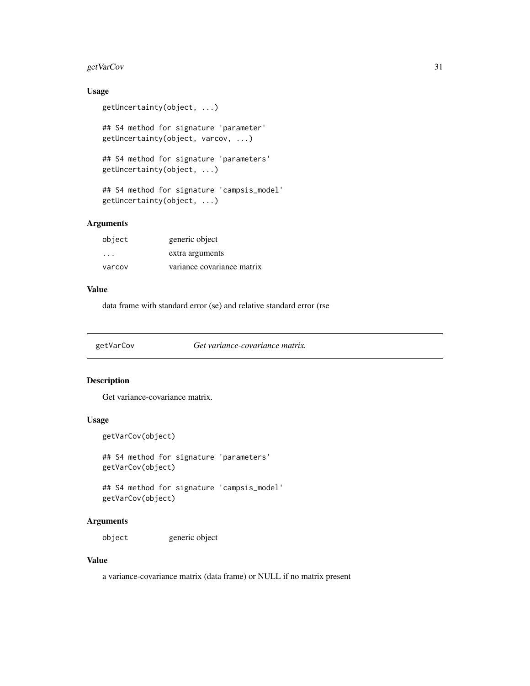# <span id="page-30-0"></span>getVarCov 31

# Usage

```
getUncertainty(object, ...)
```
## S4 method for signature 'parameter' getUncertainty(object, varcov, ...)

```
## S4 method for signature 'parameters'
getUncertainty(object, ...)
```

```
## S4 method for signature 'campsis_model'
getUncertainty(object, ...)
```
# Arguments

| object  | generic object             |
|---------|----------------------------|
| $\cdot$ | extra arguments            |
| varcov  | variance covariance matrix |

#### Value

data frame with standard error (se) and relative standard error (rse

getVarCov *Get variance-covariance matrix.*

# Description

Get variance-covariance matrix.

# Usage

```
getVarCov(object)
```
## S4 method for signature 'parameters' getVarCov(object)

## S4 method for signature 'campsis\_model' getVarCov(object)

#### Arguments

object generic object

#### Value

a variance-covariance matrix (data frame) or NULL if no matrix present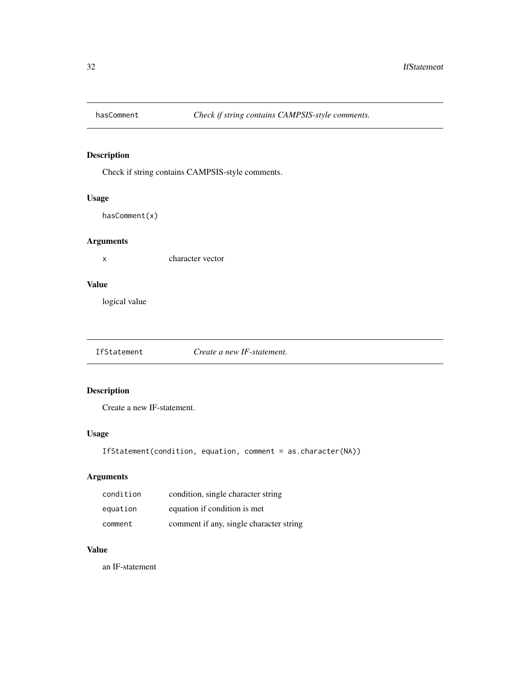<span id="page-31-0"></span>

Check if string contains CAMPSIS-style comments.

# Usage

hasComment(x)

# Arguments

x character vector

#### Value

logical value

IfStatement *Create a new IF-statement.*

# Description

Create a new IF-statement.

# Usage

IfStatement(condition, equation, comment = as.character(NA))

# Arguments

| condition | condition, single character string      |
|-----------|-----------------------------------------|
| equation  | equation if condition is met            |
| comment   | comment if any, single character string |

# Value

an IF-statement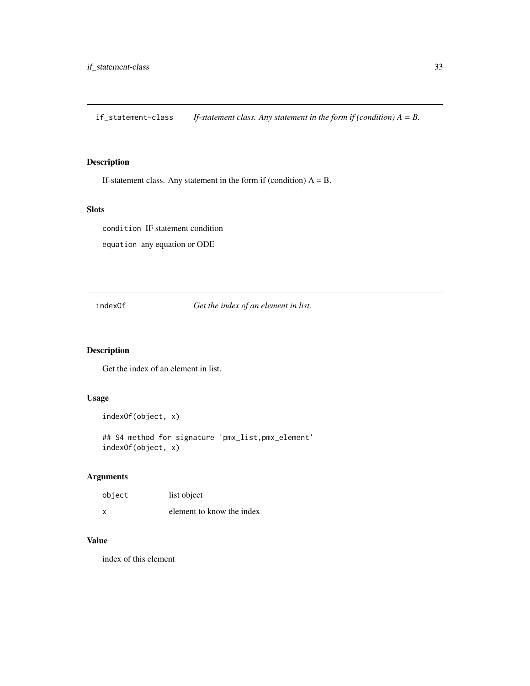<span id="page-32-0"></span>if\_statement-class *If-statement class. Any statement in the form if (condition) A = B.*

# Description

If-statement class. Any statement in the form if (condition)  $A = B$ .

# Slots

condition IF statement condition

equation any equation or ODE

indexOf *Get the index of an element in list.*

# Description

Get the index of an element in list.

#### Usage

```
indexOf(object, x)
```
## S4 method for signature 'pmx\_list,pmx\_element' indexOf(object, x)

# Arguments

| object | list object               |
|--------|---------------------------|
| x      | element to know the index |

#### Value

index of this element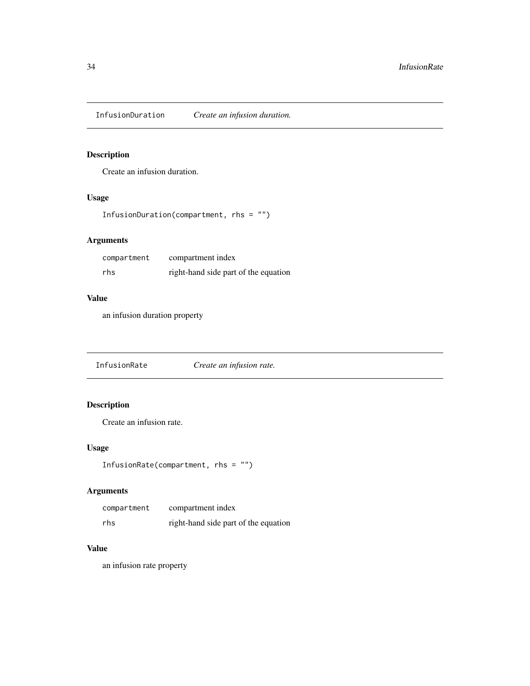<span id="page-33-0"></span>InfusionDuration *Create an infusion duration.*

# Description

Create an infusion duration.

# Usage

```
InfusionDuration(compartment, rhs = "")
```
# Arguments

| compartment | compartment index                    |
|-------------|--------------------------------------|
| rhs         | right-hand side part of the equation |

# Value

an infusion duration property

InfusionRate *Create an infusion rate.*

# Description

Create an infusion rate.

# Usage

```
InfusionRate(compartment, rhs = "")
```
# Arguments

| compartment | compartment index                    |
|-------------|--------------------------------------|
| rhs         | right-hand side part of the equation |

#### Value

an infusion rate property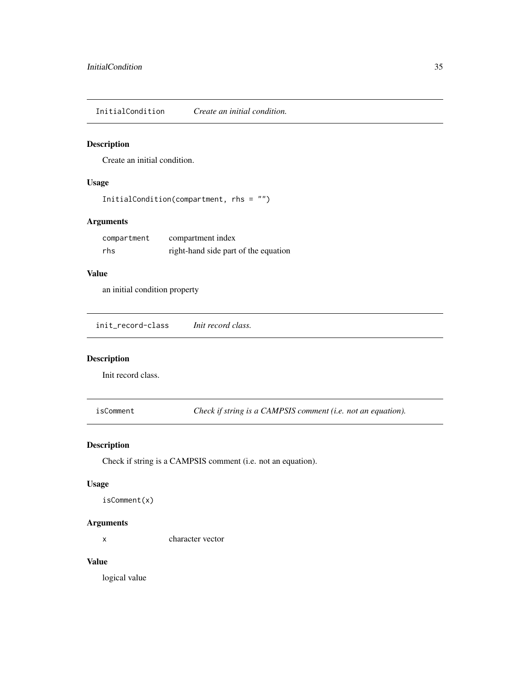<span id="page-34-0"></span>InitialCondition *Create an initial condition.*

# Description

Create an initial condition.

# Usage

```
InitialCondition(compartment, rhs = "")
```
# Arguments

| compartment | compartment index                    |
|-------------|--------------------------------------|
| rhs         | right-hand side part of the equation |

# Value

an initial condition property

init\_record-class *Init record class.*

# Description

Init record class.

isComment *Check if string is a CAMPSIS comment (i.e. not an equation).*

# Description

Check if string is a CAMPSIS comment (i.e. not an equation).

#### Usage

isComment(x)

#### Arguments

x character vector

#### Value

logical value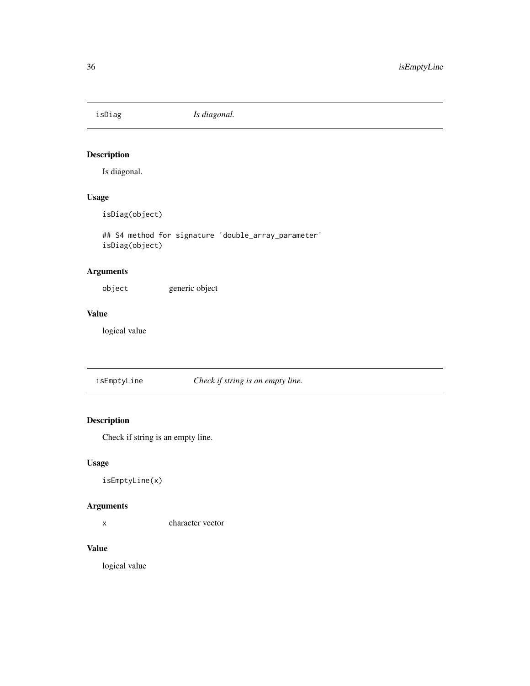<span id="page-35-0"></span>

Is diagonal.

# Usage

isDiag(object)

## S4 method for signature 'double\_array\_parameter' isDiag(object)

# Arguments

object generic object

# Value

logical value

isEmptyLine *Check if string is an empty line.*

# Description

Check if string is an empty line.

# Usage

```
isEmptyLine(x)
```
#### Arguments

x character vector

# Value

logical value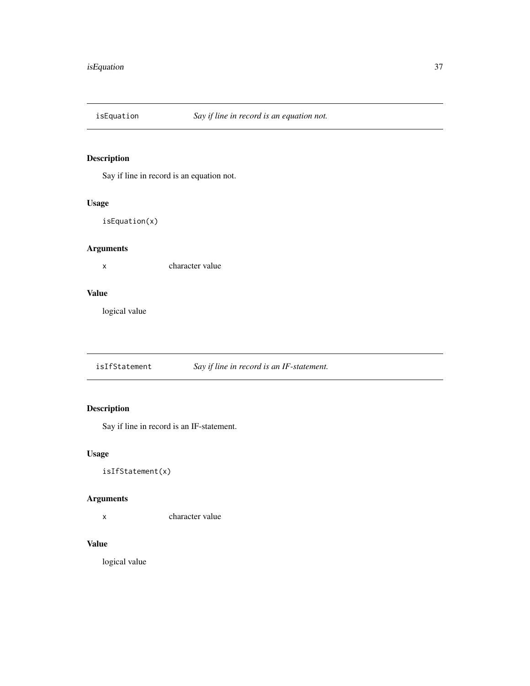Say if line in record is an equation not.

# Usage

isEquation(x)

# Arguments

x character value

# Value

logical value

isIfStatement *Say if line in record is an IF-statement.*

# Description

Say if line in record is an IF-statement.

# Usage

isIfStatement(x)

# Arguments

x character value

# Value

logical value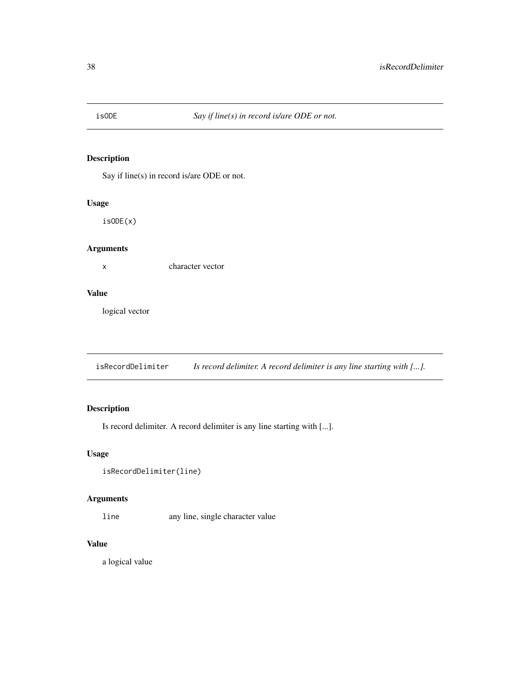Say if line(s) in record is/are ODE or not.

# Usage

isODE(x)

# Arguments

x character vector

### Value

logical vector

isRecordDelimiter *Is record delimiter. A record delimiter is any line starting with [...].*

# Description

Is record delimiter. A record delimiter is any line starting with [...].

# Usage

```
isRecordDelimiter(line)
```
# Arguments

line any line, single character value

### Value

a logical value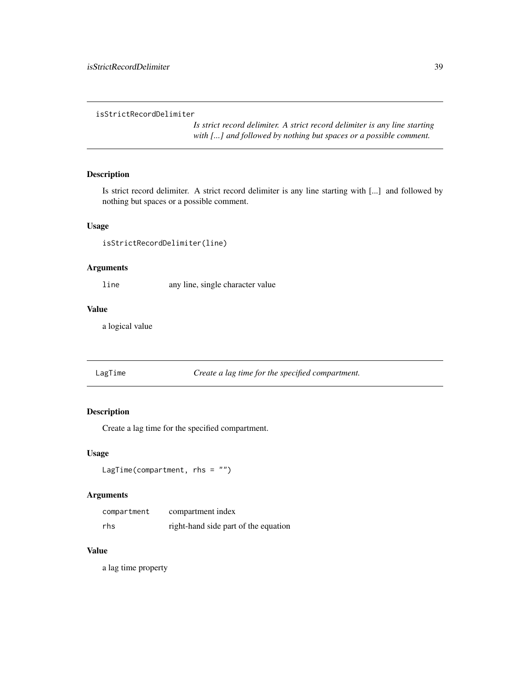```
isStrictRecordDelimiter
```
*Is strict record delimiter. A strict record delimiter is any line starting with [...] and followed by nothing but spaces or a possible comment.*

# Description

Is strict record delimiter. A strict record delimiter is any line starting with [...] and followed by nothing but spaces or a possible comment.

#### Usage

isStrictRecordDelimiter(line)

### Arguments

line any line, single character value

# Value

a logical value

LagTime *Create a lag time for the specified compartment.*

# Description

Create a lag time for the specified compartment.

#### Usage

LagTime(compartment, rhs = "")

# Arguments

| compartment | compartment index                    |
|-------------|--------------------------------------|
| rhs         | right-hand side part of the equation |

#### Value

a lag time property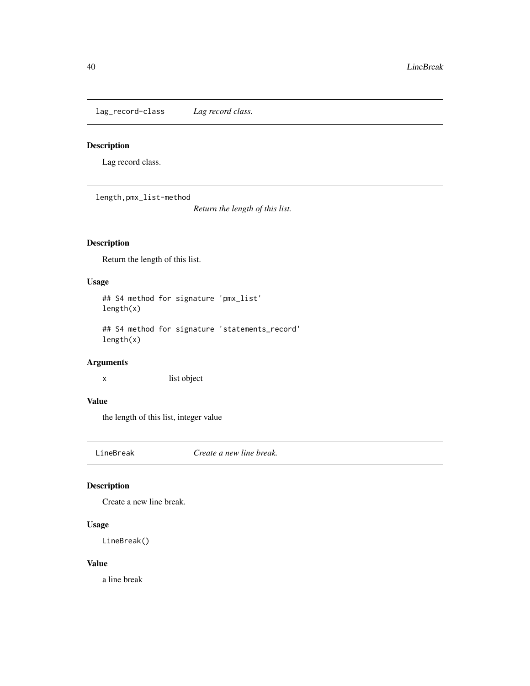lag\_record-class *Lag record class.*

### Description

Lag record class.

length,pmx\_list-method

*Return the length of this list.*

# Description

Return the length of this list.

# Usage

## S4 method for signature 'pmx\_list' length(x)

## S4 method for signature 'statements\_record' length(x)

# Arguments

x list object

# Value

the length of this list, integer value

LineBreak *Create a new line break.*

# Description

Create a new line break.

# Usage

LineBreak()

# Value

a line break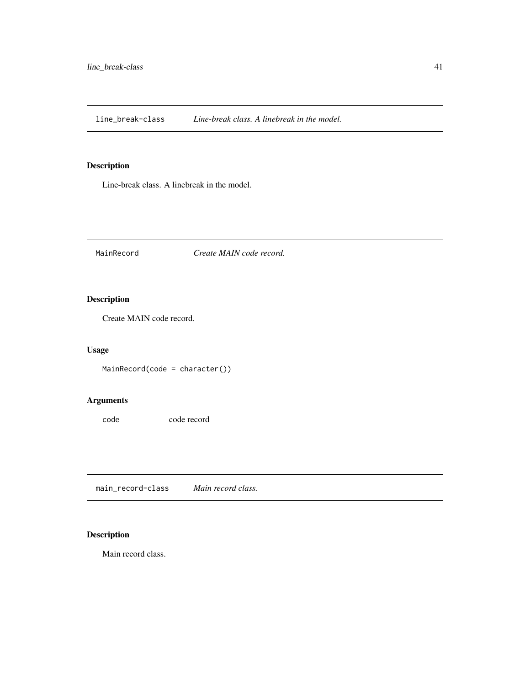line\_break-class *Line-break class. A linebreak in the model.*

# Description

Line-break class. A linebreak in the model.

MainRecord *Create MAIN code record.*

# Description

Create MAIN code record.

# Usage

MainRecord(code = character())

# Arguments

code code record

main\_record-class *Main record class.*

# Description

Main record class.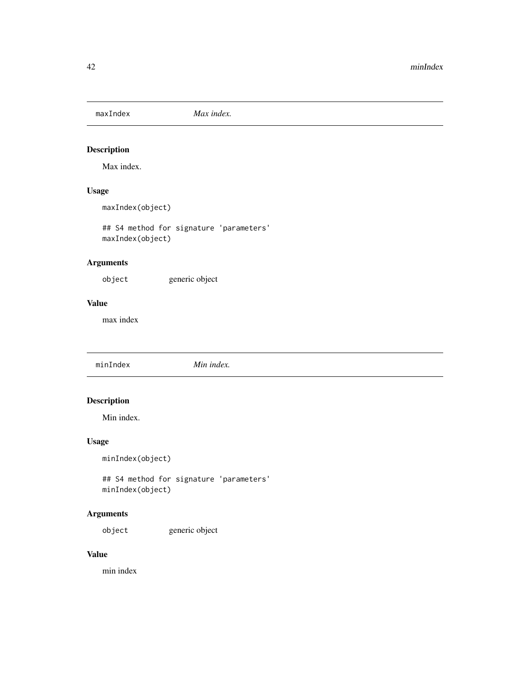Max index.

# Usage

maxIndex(object)

## S4 method for signature 'parameters' maxIndex(object)

# Arguments

object generic object

# Value

max index

minIndex *Min index.*

# Description

Min index.

# Usage

minIndex(object)

## S4 method for signature 'parameters' minIndex(object)

# Arguments

object generic object

# Value

min index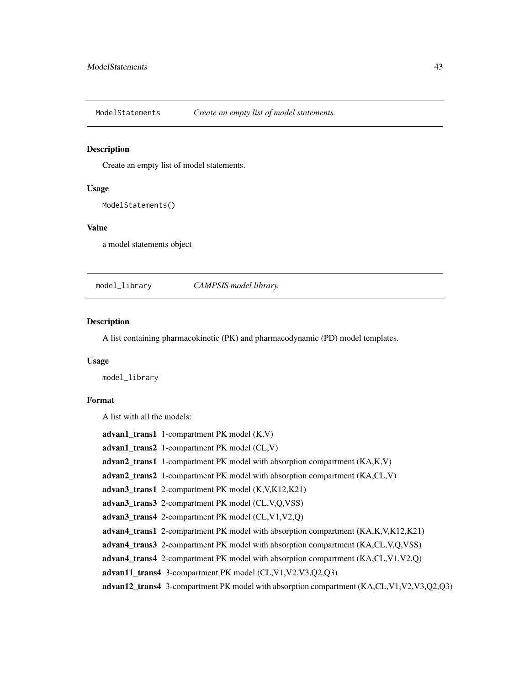ModelStatements *Create an empty list of model statements.*

#### Description

Create an empty list of model statements.

#### Usage

ModelStatements()

### Value

a model statements object

model\_library *CAMPSIS model library.*

#### Description

A list containing pharmacokinetic (PK) and pharmacodynamic (PD) model templates.

#### Usage

model\_library

# Format

A list with all the models:

advan1\_trans1 1-compartment PK model (K,V) advan1\_trans2 1-compartment PK model (CL,V) advan2\_trans1 1-compartment PK model with absorption compartment (KA,K,V) advan2\_trans2 1-compartment PK model with absorption compartment (KA,CL,V) advan3\_trans1 2-compartment PK model (K,V,K12,K21) advan3\_trans3 2-compartment PK model (CL,V,Q,VSS) advan3\_trans4 2-compartment PK model (CL,V1,V2,Q) advan4\_trans1 2-compartment PK model with absorption compartment (KA,K,V,K12,K21) advan4\_trans3 2-compartment PK model with absorption compartment (KA,CL,V,Q,VSS) advan4\_trans4 2-compartment PK model with absorption compartment (KA,CL,V1,V2,Q) advan11\_trans4 3-compartment PK model (CL,V1,V2,V3,Q2,Q3) advan12\_trans4 3-compartment PK model with absorption compartment (KA,CL,V1,V2,V3,Q2,Q3)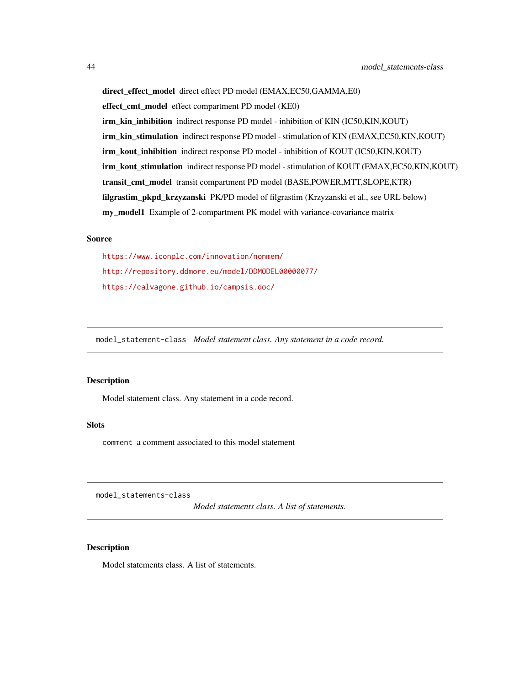direct\_effect\_model\_direct effect PD model (EMAX,EC50,GAMMA,E0) effect cmt model effect compartment PD model (KE0) irm kin inhibition indirect response PD model - inhibition of KIN (IC50,KIN,KOUT) irm\_kin\_stimulation indirect response PD model - stimulation of KIN (EMAX,EC50,KIN,KOUT) irm\_kout\_inhibition indirect response PD model - inhibition of KOUT (IC50,KIN,KOUT) irm\_kout\_stimulation indirect response PD model - stimulation of KOUT (EMAX,EC50,KIN,KOUT) transit\_cmt\_model transit compartment PD model (BASE,POWER,MTT,SLOPE,KTR) filgrastim\_pkpd\_krzyzanski PK/PD model of filgrastim (Krzyzanski et al., see URL below) my\_model1 Example of 2-compartment PK model with variance-covariance matrix

#### Source

<https://www.iconplc.com/innovation/nonmem/> <http://repository.ddmore.eu/model/DDMODEL00000077/> <https://calvagone.github.io/campsis.doc/>

model\_statement-class *Model statement class. Any statement in a code record.*

#### Description

Model statement class. Any statement in a code record.

#### Slots

comment a comment associated to this model statement

model\_statements-class

*Model statements class. A list of statements.*

#### **Description**

Model statements class. A list of statements.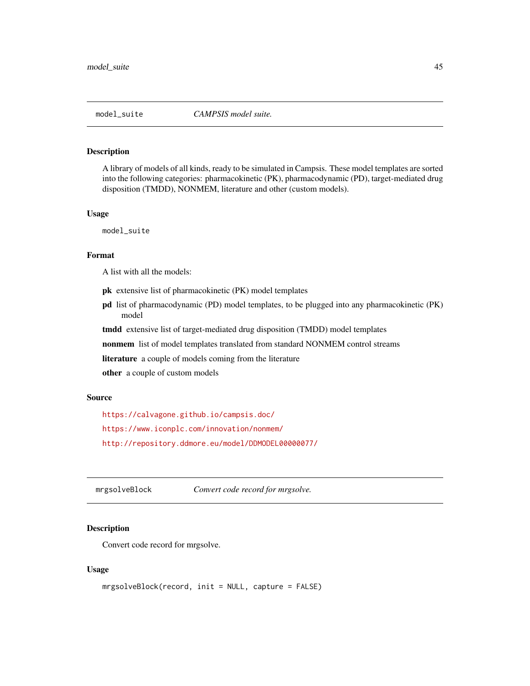A library of models of all kinds, ready to be simulated in Campsis. These model templates are sorted into the following categories: pharmacokinetic (PK), pharmacodynamic (PD), target-mediated drug disposition (TMDD), NONMEM, literature and other (custom models).

#### Usage

model\_suite

#### Format

A list with all the models:

- pk extensive list of pharmacokinetic (PK) model templates
- pd list of pharmacodynamic (PD) model templates, to be plugged into any pharmacokinetic (PK) model

tmdd extensive list of target-mediated drug disposition (TMDD) model templates

nonmem list of model templates translated from standard NONMEM control streams

literature a couple of models coming from the literature

other a couple of custom models

#### Source

<https://calvagone.github.io/campsis.doc/> <https://www.iconplc.com/innovation/nonmem/> <http://repository.ddmore.eu/model/DDMODEL00000077/>

mrgsolveBlock *Convert code record for mrgsolve.*

# Description

Convert code record for mrgsolve.

#### Usage

```
mrgsolveBlock(record, init = NULL, capture = FALSE)
```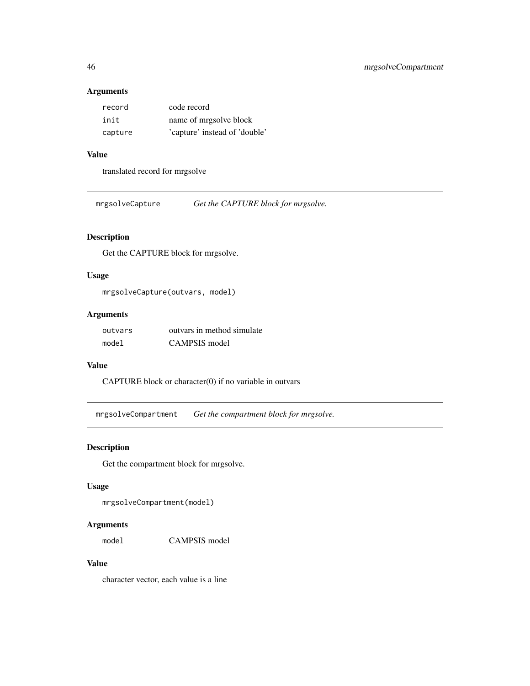### Arguments

| record  | code record                   |
|---------|-------------------------------|
| init    | name of mrgsolve block        |
| capture | 'capture' instead of 'double' |

# Value

translated record for mrgsolve

mrgsolveCapture *Get the CAPTURE block for mrgsolve.*

# Description

Get the CAPTURE block for mrgsolve.

# Usage

mrgsolveCapture(outvars, model)

# Arguments

| outvars | outvars in method simulate |
|---------|----------------------------|
| model   | CAMPSIS model              |

#### Value

CAPTURE block or character(0) if no variable in outvars

mrgsolveCompartment *Get the compartment block for mrgsolve.*

# Description

Get the compartment block for mrgsolve.

#### Usage

mrgsolveCompartment(model)

# Arguments

model CAMPSIS model

# Value

character vector, each value is a line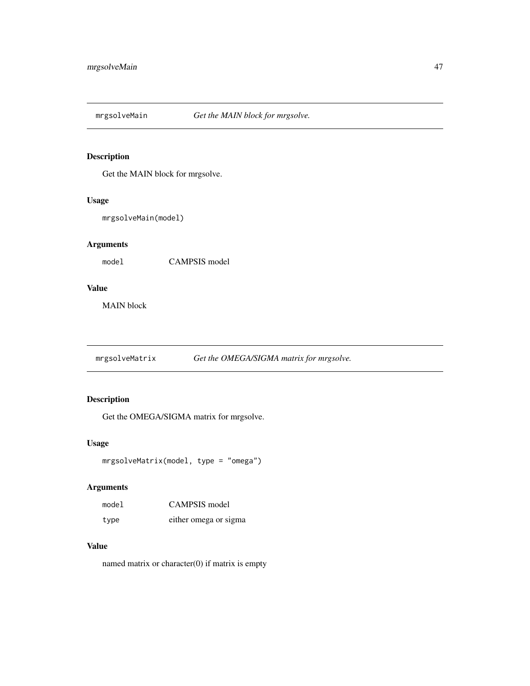Get the MAIN block for mrgsolve.

#### Usage

mrgsolveMain(model)

# Arguments

model CAMPSIS model

### Value

MAIN block

mrgsolveMatrix *Get the OMEGA/SIGMA matrix for mrgsolve.*

# Description

Get the OMEGA/SIGMA matrix for mrgsolve.

# Usage

```
mrgsolveMatrix(model, type = "omega")
```
# Arguments

| model | CAMPSIS model         |
|-------|-----------------------|
| type  | either omega or sigma |

### Value

named matrix or character(0) if matrix is empty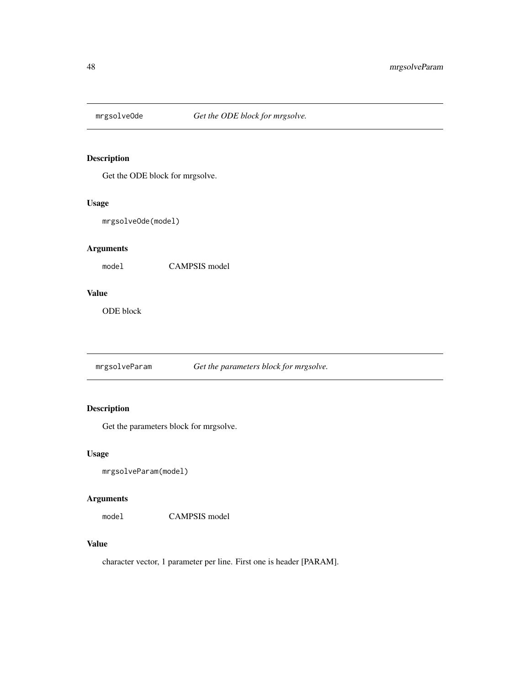Get the ODE block for mrgsolve.

# Usage

mrgsolveOde(model)

# Arguments

model CAMPSIS model

#### Value

ODE block

mrgsolveParam *Get the parameters block for mrgsolve.*

# Description

Get the parameters block for mrgsolve.

#### Usage

```
mrgsolveParam(model)
```
# Arguments

model CAMPSIS model

### Value

character vector, 1 parameter per line. First one is header [PARAM].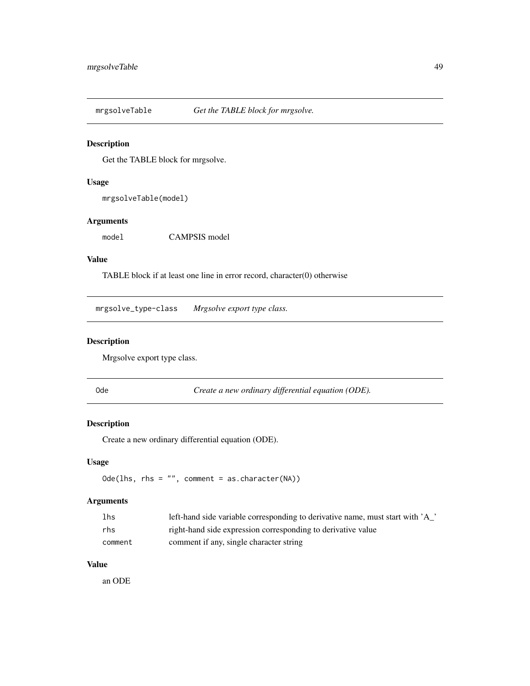mrgsolveTable *Get the TABLE block for mrgsolve.*

# Description

Get the TABLE block for mrgsolve.

# Usage

mrgsolveTable(model)

#### Arguments

model CAMPSIS model

# Value

TABLE block if at least one line in error record, character(0) otherwise

mrgsolve\_type-class *Mrgsolve export type class.*

# Description

Mrgsolve export type class.

Ode *Create a new ordinary differential equation (ODE).*

# Description

Create a new ordinary differential equation (ODE).

### Usage

Ode(lhs, rhs = "", comment = as.character(NA))

# Arguments

| lhs     | left-hand side variable corresponding to derivative name, must start with 'A_' |
|---------|--------------------------------------------------------------------------------|
| rhs     | right-hand side expression corresponding to derivative value                   |
| comment | comment if any, single character string                                        |

# Value

an ODE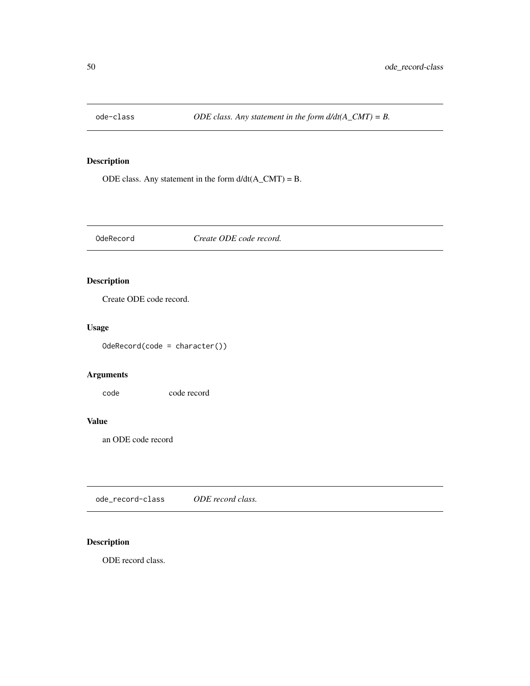ODE class. Any statement in the form  $d/dt(A_CMT) = B$ .

OdeRecord *Create ODE code record.*

# Description

Create ODE code record.

# Usage

OdeRecord(code = character())

# Arguments

code code record

# Value

an ODE code record

ode\_record-class *ODE record class.*

# Description

ODE record class.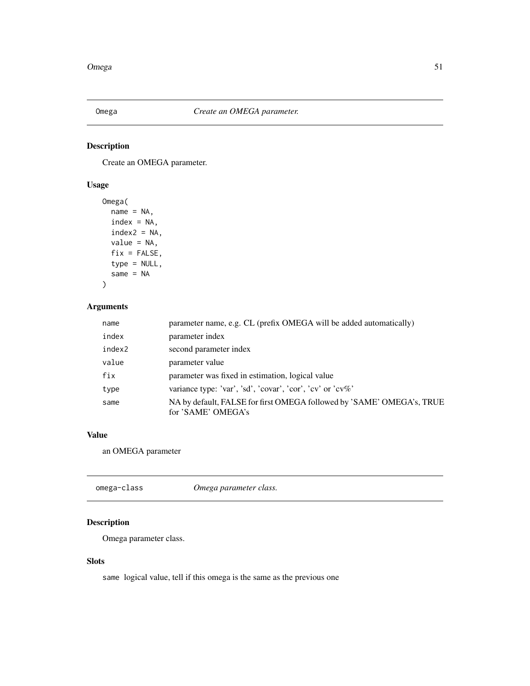Create an OMEGA parameter.

### Usage

```
Omega(
  name = NA,index = NA,
  index2 = NA,
  value = NA,
  fix = FALSE,
  type = NULL,
  same = NA
```
# ) Arguments

# name parameter name, e.g. CL (prefix OMEGA will be added automatically) index parameter index index2 second parameter index value parameter value fix parameter was fixed in estimation, logical value type variance type: 'var', 'sd', 'covar', 'cor', 'cv' or 'cv%' same NA by default, FALSE for first OMEGA followed by 'SAME' OMEGA's, TRUE for 'SAME' OMEGA's

#### Value

an OMEGA parameter

|  | omega-class | Omega parameter class. |  |
|--|-------------|------------------------|--|
|--|-------------|------------------------|--|

# Description

Omega parameter class.

# Slots

same logical value, tell if this omega is the same as the previous one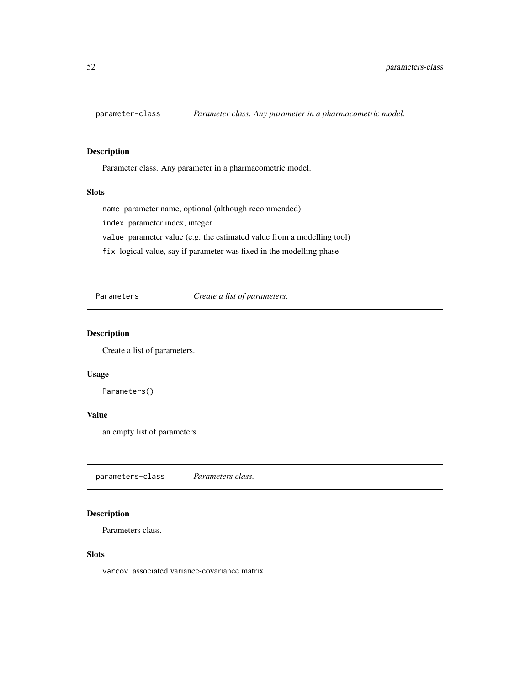Parameter class. Any parameter in a pharmacometric model.

#### **Slots**

name parameter name, optional (although recommended)

index parameter index, integer

value parameter value (e.g. the estimated value from a modelling tool)

fix logical value, say if parameter was fixed in the modelling phase

Parameters *Create a list of parameters.*

#### Description

Create a list of parameters.

#### Usage

Parameters()

# Value

an empty list of parameters

parameters-class *Parameters class.*

# Description

Parameters class.

#### Slots

varcov associated variance-covariance matrix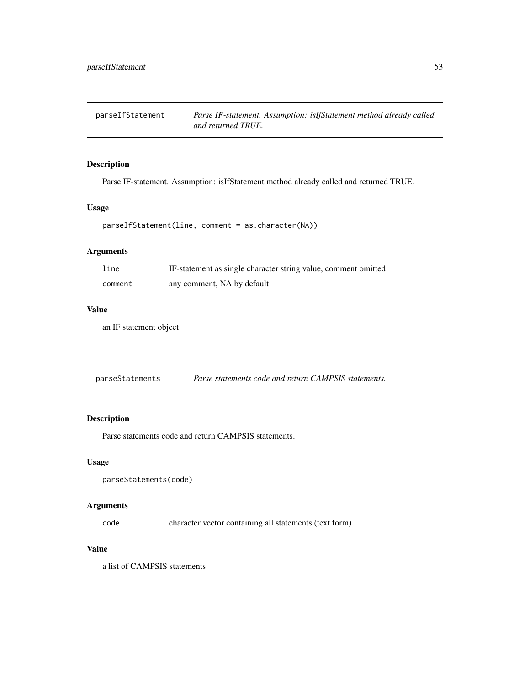parseIfStatement *Parse IF-statement. Assumption: isIfStatement method already called and returned TRUE.*

#### Description

Parse IF-statement. Assumption: isIfStatement method already called and returned TRUE.

#### Usage

```
parseIfStatement(line, comment = as.character(NA))
```
# Arguments

| line    | IF-statement as single character string value, comment omitted |
|---------|----------------------------------------------------------------|
| comment | any comment, NA by default                                     |

# Value

an IF statement object

| parseStatements | Parse statements code and return CAMPSIS statements. |  |
|-----------------|------------------------------------------------------|--|
|-----------------|------------------------------------------------------|--|

# Description

Parse statements code and return CAMPSIS statements.

#### Usage

```
parseStatements(code)
```
#### Arguments

code character vector containing all statements (text form)

#### Value

a list of CAMPSIS statements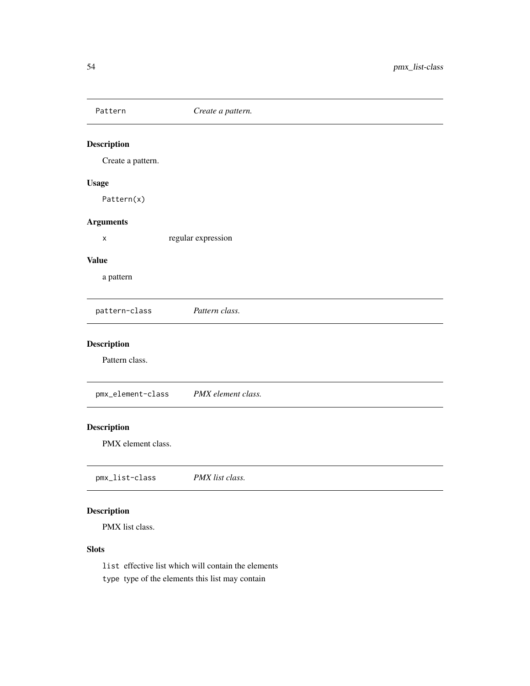Pattern *Create a pattern.* Description Create a pattern. Usage Pattern(x) Arguments x regular expression Value a pattern pattern-class *Pattern class.* Description Pattern class. pmx\_element-class *PMX element class.* Description PMX element class. pmx\_list-class *PMX list class.* Description

PMX list class.

# Slots

list effective list which will contain the elements type type of the elements this list may contain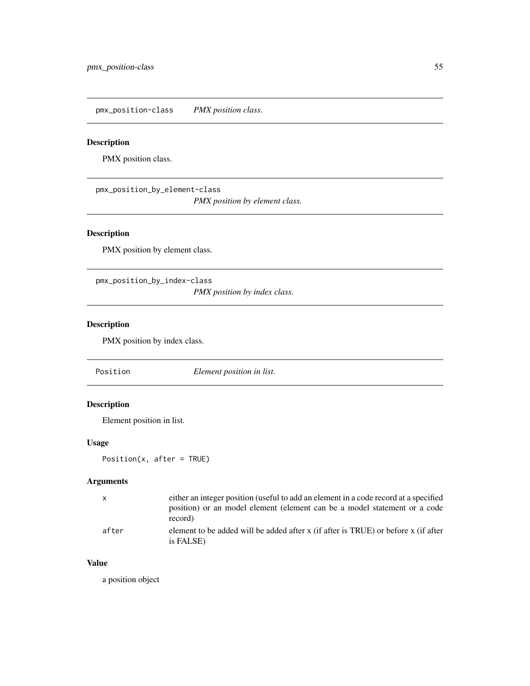pmx\_position-class *PMX position class.*

# Description

PMX position class.

pmx\_position\_by\_element-class *PMX position by element class.*

# Description

PMX position by element class.

pmx\_position\_by\_index-class *PMX position by index class.*

# Description

PMX position by index class.

Position *Element position in list.*

# Description

Element position in list.

# Usage

Position(x, after = TRUE)

# Arguments

| X     | either an integer position (useful to add an element in a code record at a specified<br>position) or an model element (element can be a model statement or a code<br>record) |
|-------|------------------------------------------------------------------------------------------------------------------------------------------------------------------------------|
| after | element to be added will be added after x (if after is TRUE) or before x (if after<br>is FALSE)                                                                              |

# Value

a position object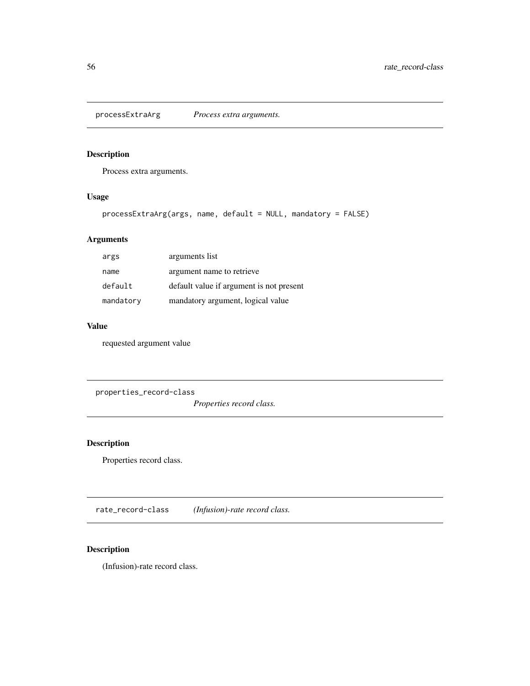processExtraArg *Process extra arguments.*

# Description

Process extra arguments.

# Usage

```
processExtraArg(args, name, default = NULL, mandatory = FALSE)
```
# Arguments

| args      | arguments list                           |
|-----------|------------------------------------------|
| name      | argument name to retrieve                |
| default   | default value if argument is not present |
| mandatory | mandatory argument, logical value        |

# Value

requested argument value

properties\_record-class

*Properties record class.*

# Description

Properties record class.

rate\_record-class *(Infusion)-rate record class.*

# Description

(Infusion)-rate record class.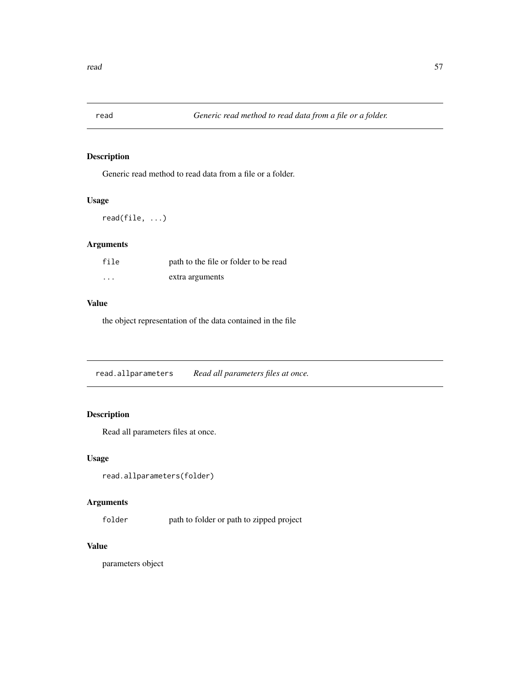Generic read method to read data from a file or a folder.

### Usage

read(file, ...)

# Arguments

| file     | path to the file or folder to be read |
|----------|---------------------------------------|
| $\cdots$ | extra arguments                       |

# Value

the object representation of the data contained in the file

read.allparameters *Read all parameters files at once.*

# Description

Read all parameters files at once.

### Usage

```
read.allparameters(folder)
```
# Arguments

folder path to folder or path to zipped project

# Value

parameters object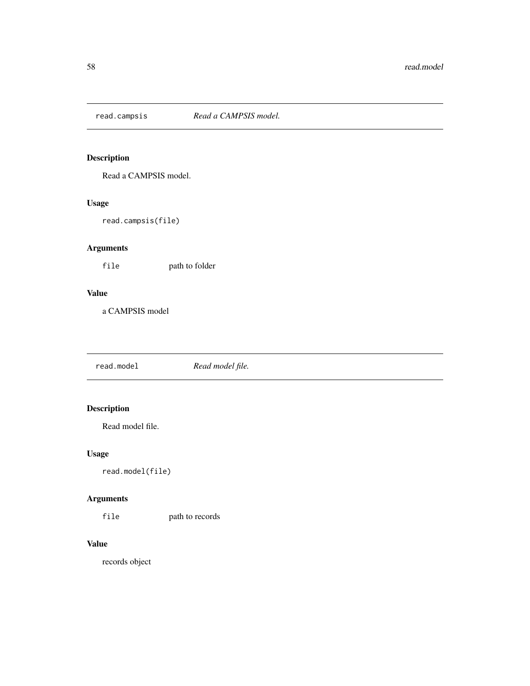Read a CAMPSIS model.

# Usage

read.campsis(file)

# Arguments

file path to folder

# Value

a CAMPSIS model

read.model *Read model file.*

# Description

Read model file.

# Usage

read.model(file)

# Arguments

file path to records

# Value

records object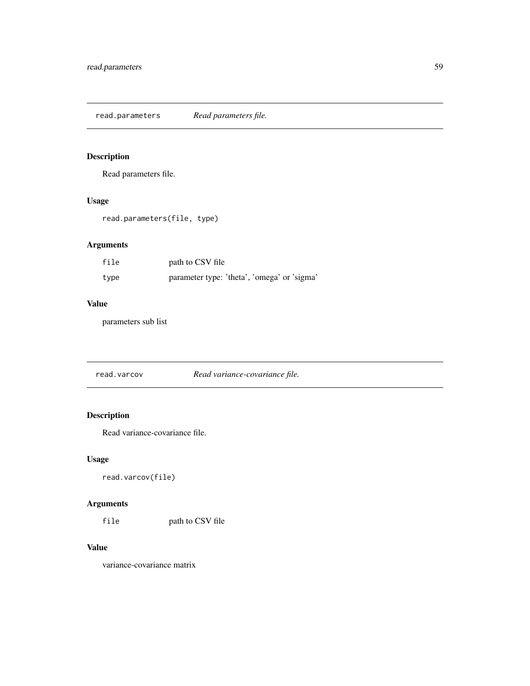read.parameters *Read parameters file.*

# Description

Read parameters file.

# Usage

read.parameters(file, type)

# Arguments

| file | path to CSV file                            |
|------|---------------------------------------------|
| type | parameter type: 'theta', 'omega' or 'sigma' |

#### Value

parameters sub list

read.varcov *Read variance-covariance file.*

# Description

Read variance-covariance file.

# Usage

```
read.varcov(file)
```
# Arguments

file path to CSV file

### Value

variance-covariance matrix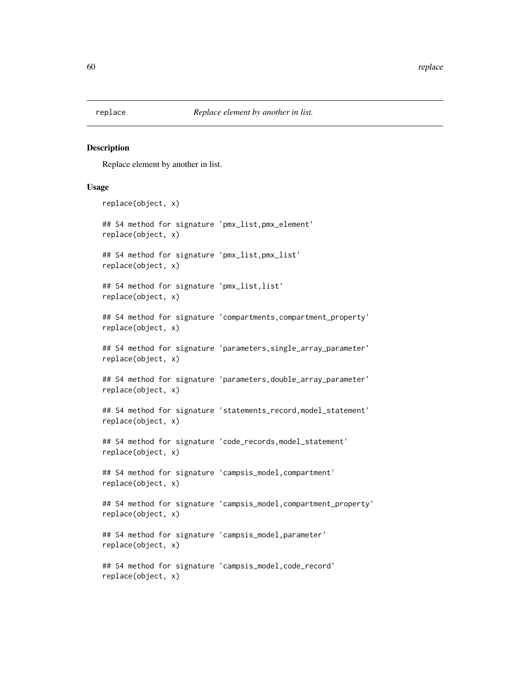Replace element by another in list.

#### Usage

```
replace(object, x)
## S4 method for signature 'pmx_list,pmx_element'
replace(object, x)
## S4 method for signature 'pmx_list,pmx_list'
replace(object, x)
## S4 method for signature 'pmx_list,list'
replace(object, x)
## S4 method for signature 'compartments,compartment_property'
replace(object, x)
## S4 method for signature 'parameters,single_array_parameter'
replace(object, x)
## S4 method for signature 'parameters,double_array_parameter'
replace(object, x)
## S4 method for signature 'statements_record,model_statement'
replace(object, x)
## S4 method for signature 'code_records,model_statement'
replace(object, x)
## S4 method for signature 'campsis_model, compartment'
replace(object, x)
## S4 method for signature 'campsis_model,compartment_property'
replace(object, x)
## S4 method for signature 'campsis_model,parameter'
replace(object, x)
## S4 method for signature 'campsis_model,code_record'
replace(object, x)
```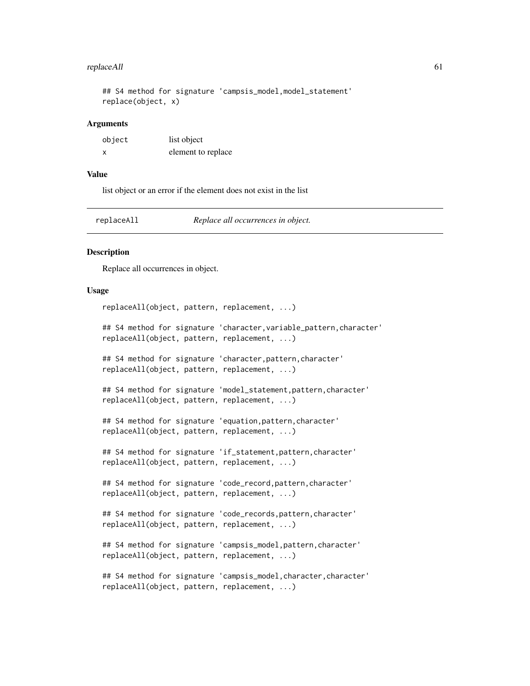#### replaceAll 61

```
## S4 method for signature 'campsis_model,model_statement'
replace(object, x)
```
#### Arguments

| object | list object        |
|--------|--------------------|
|        | element to replace |

#### Value

list object or an error if the element does not exist in the list

replaceAll *Replace all occurrences in object.*

### Description

Replace all occurrences in object.

#### Usage

replaceAll(object, pattern, replacement, ...)

## S4 method for signature 'character, variable\_pattern, character' replaceAll(object, pattern, replacement, ...)

## S4 method for signature 'character,pattern,character' replaceAll(object, pattern, replacement, ...)

## S4 method for signature 'model\_statement, pattern, character' replaceAll(object, pattern, replacement, ...)

## S4 method for signature 'equation,pattern,character' replaceAll(object, pattern, replacement, ...)

## S4 method for signature 'if\_statement, pattern, character' replaceAll(object, pattern, replacement, ...)

## S4 method for signature 'code\_record,pattern,character' replaceAll(object, pattern, replacement, ...)

## S4 method for signature 'code\_records,pattern,character' replaceAll(object, pattern, replacement, ...)

## S4 method for signature 'campsis\_model,pattern,character' replaceAll(object, pattern, replacement, ...)

## S4 method for signature 'campsis\_model, character, character' replaceAll(object, pattern, replacement, ...)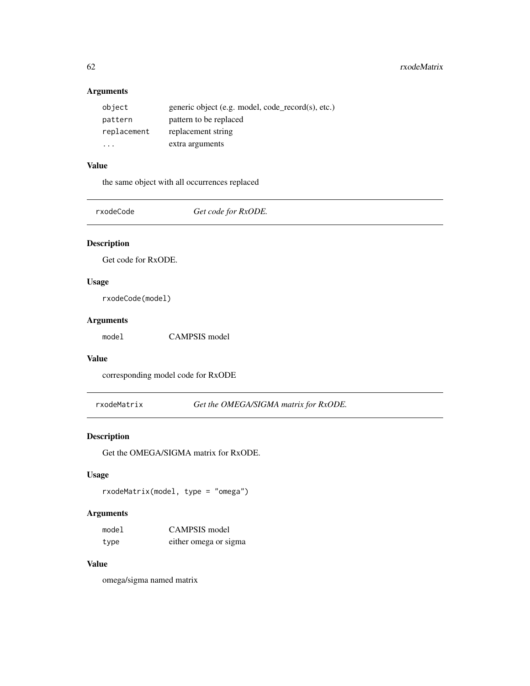# Arguments

| object                  | generic object (e.g. model, code_record(s), etc.) |
|-------------------------|---------------------------------------------------|
| pattern                 | pattern to be replaced                            |
| replacement             | replacement string                                |
| $\cdot$ $\cdot$ $\cdot$ | extra arguments                                   |

# Value

the same object with all occurrences replaced

rxodeCode *Get code for RxODE.*

# Description

Get code for RxODE.

# Usage

rxodeCode(model)

### Arguments

model CAMPSIS model

#### Value

corresponding model code for RxODE

rxodeMatrix *Get the OMEGA/SIGMA matrix for RxODE.*

# Description

Get the OMEGA/SIGMA matrix for RxODE.

#### Usage

rxodeMatrix(model, type = "omega")

# Arguments

| model | CAMPSIS model         |
|-------|-----------------------|
| type  | either omega or sigma |

# Value

omega/sigma named matrix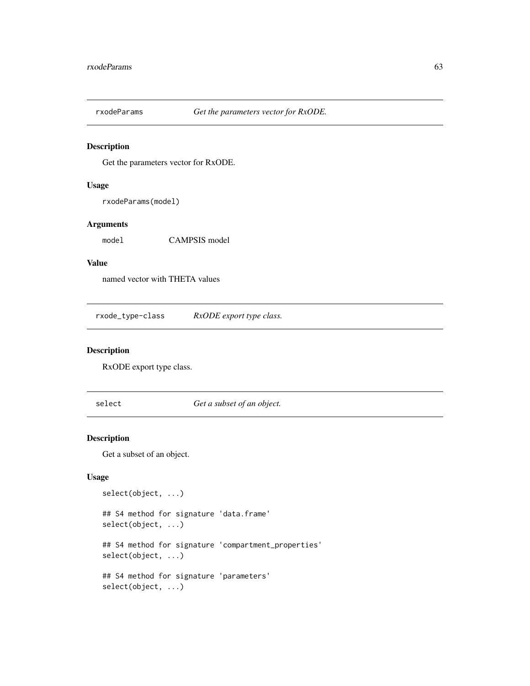Get the parameters vector for RxODE.

# Usage

rxodeParams(model)

# Arguments

model CAMPSIS model

# Value

named vector with THETA values

rxode\_type-class *RxODE export type class.*

# Description

RxODE export type class.

select *Get a subset of an object.*

# Description

Get a subset of an object.

# Usage

select(object, ...) ## S4 method for signature 'data.frame' select(object, ...) ## S4 method for signature 'compartment\_properties' select(object, ...) ## S4 method for signature 'parameters' select(object, ...)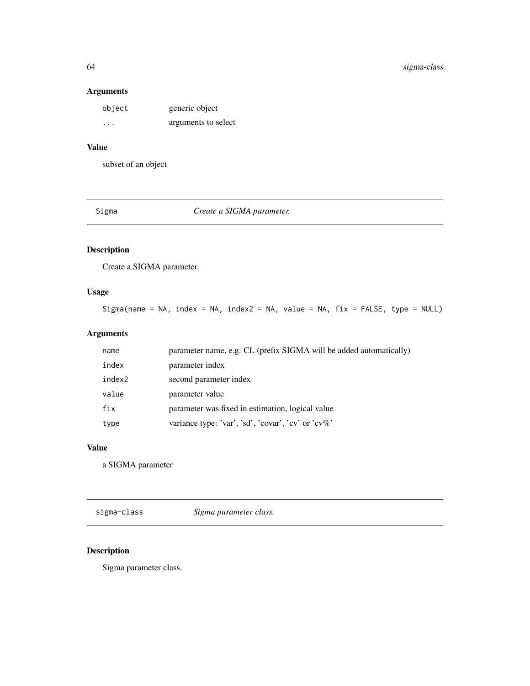# 64 sigma-class

# Arguments

| object  | generic object      |
|---------|---------------------|
| $\cdot$ | arguments to select |

# Value

subset of an object

Sigma *Create a SIGMA parameter.*

# Description

Create a SIGMA parameter.

# Usage

Sigma(name = NA, index = NA, index2 = NA, value = NA,  $fix$  = FALSE, type = NULL)

# Arguments

| name   | parameter name, e.g. CL (prefix SIGMA will be added automatically) |
|--------|--------------------------------------------------------------------|
| index  | parameter index                                                    |
| index2 | second parameter index                                             |
| value  | parameter value                                                    |
| fix    | parameter was fixed in estimation, logical value                   |
| type   | variance type: 'var', 'sd', 'covar', 'cv' or 'cv%'                 |

# Value

a SIGMA parameter

sigma-class *Sigma parameter class.*

# Description

Sigma parameter class.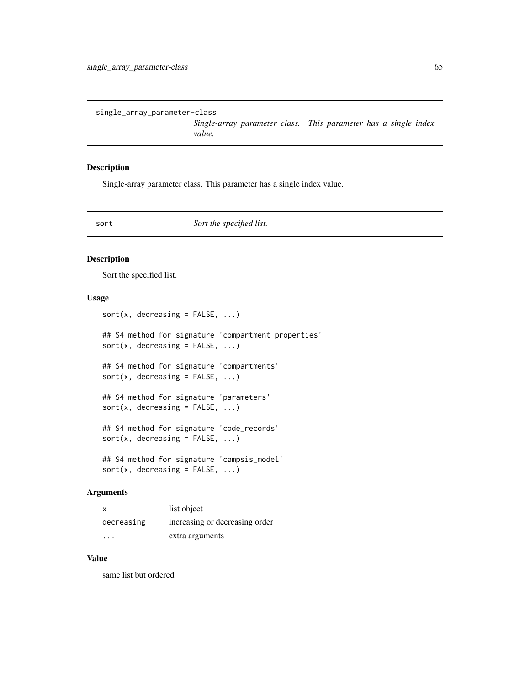*Single-array parameter class. This parameter has a single index value.*

#### Description

Single-array parameter class. This parameter has a single index value.

sort **Sort** the specified list.

#### Description

Sort the specified list.

#### Usage

 $sort(x, decreasing = FALSE, ...)$ ## S4 method for signature 'compartment\_properties'  $sort(x, decreasing = FALSE, ...)$ ## S4 method for signature 'compartments'  $sort(x, decreasing = FALSE, ...)$ ## S4 method for signature 'parameters'  $sort(x, decreasing = FALSE, ...)$ ## S4 method for signature 'code\_records'  $sort(x, decreasing = FALSE, ...)$ ## S4 method for signature 'campsis\_model'  $sort(x, decreasing = FALSE, ...)$ 

#### Arguments

|            | list object                    |
|------------|--------------------------------|
| decreasing | increasing or decreasing order |
| .          | extra arguments                |

#### Value

same list but ordered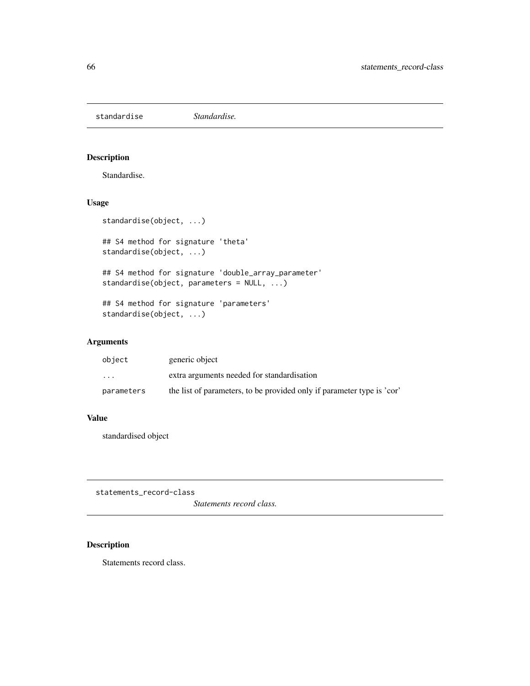standardise *Standardise.*

# Description

Standardise.

#### Usage

```
standardise(object, ...)
```
## S4 method for signature 'theta' standardise(object, ...)

## S4 method for signature 'double\_array\_parameter' standardise(object, parameters = NULL, ...)

## S4 method for signature 'parameters' standardise(object, ...)

# Arguments

| object     | generic object                                                         |
|------------|------------------------------------------------------------------------|
| $\cdots$   | extra arguments needed for standardisation                             |
| parameters | the list of parameters, to be provided only if parameter type is 'cor' |

### Value

standardised object

statements\_record-class

*Statements record class.*

# Description

Statements record class.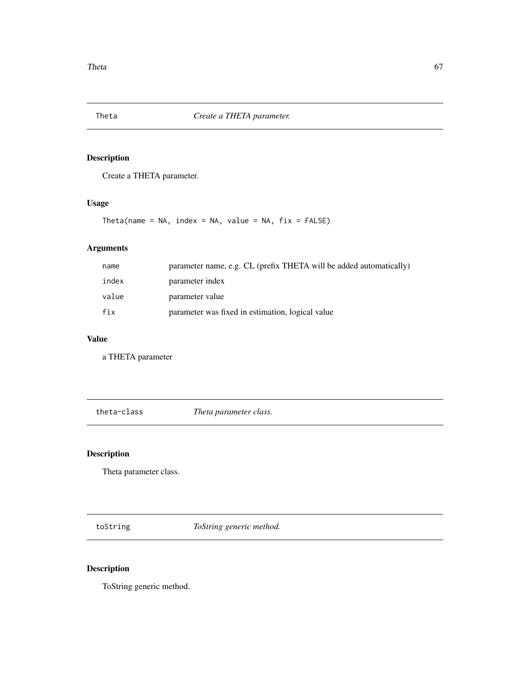Create a THETA parameter.

# Usage

Theta(name = NA, index = NA, value = NA,  $fix = FALSE$ )

# Arguments

| name  | parameter name, e.g. CL (prefix THETA will be added automatically) |
|-------|--------------------------------------------------------------------|
| index | parameter index                                                    |
| value | parameter value                                                    |
| fix   | parameter was fixed in estimation, logical value                   |

# Value

a THETA parameter

theta-class *Theta parameter class.*

# Description

Theta parameter class.

toString *ToString generic method.*

# Description

ToString generic method.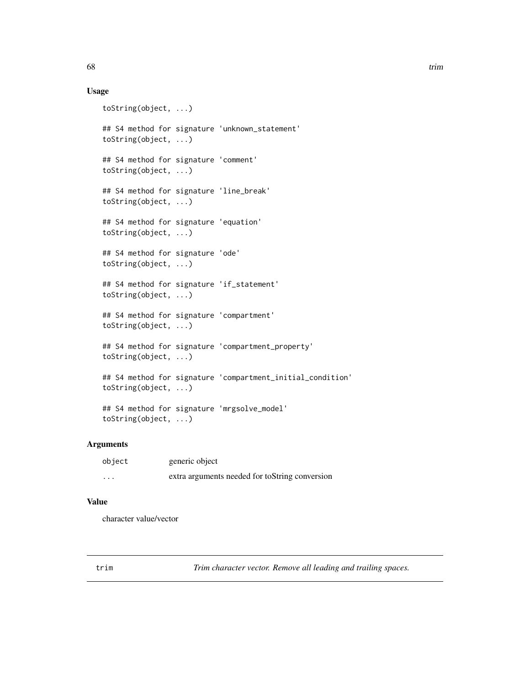#### Usage

```
toString(object, ...)
## S4 method for signature 'unknown_statement'
toString(object, ...)
## S4 method for signature 'comment'
toString(object, ...)
## S4 method for signature 'line_break'
toString(object, ...)
## S4 method for signature 'equation'
toString(object, ...)
## S4 method for signature 'ode'
toString(object, ...)
## S4 method for signature 'if_statement'
toString(object, ...)
## S4 method for signature 'compartment'
toString(object, ...)
## S4 method for signature 'compartment_property'
toString(object, ...)
## S4 method for signature 'compartment_initial_condition'
toString(object, ...)
## S4 method for signature 'mrgsolve_model'
toString(object, ...)
```
# Arguments

| object   | generic object                                 |
|----------|------------------------------------------------|
| $\cdots$ | extra arguments needed for toString conversion |

### Value

character value/vector

trim *Trim character vector. Remove all leading and trailing spaces.*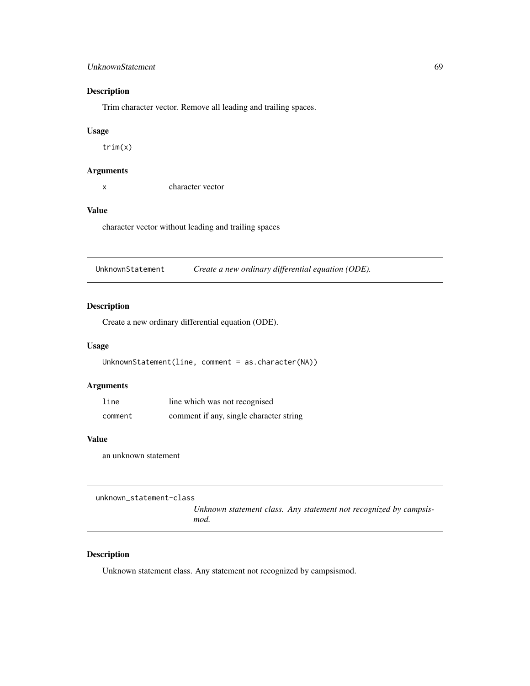#### UnknownStatement 69

### Description

Trim character vector. Remove all leading and trailing spaces.

#### Usage

trim(x)

# Arguments

x character vector

#### Value

character vector without leading and trailing spaces

UnknownStatement *Create a new ordinary differential equation (ODE).*

### Description

Create a new ordinary differential equation (ODE).

#### Usage

```
UnknownStatement(line, comment = as.character(NA))
```
# Arguments

| line    | line which was not recognised           |
|---------|-----------------------------------------|
| comment | comment if any, single character string |

#### Value

an unknown statement

unknown\_statement-class

*Unknown statement class. Any statement not recognized by campsismod.*

# Description

Unknown statement class. Any statement not recognized by campsismod.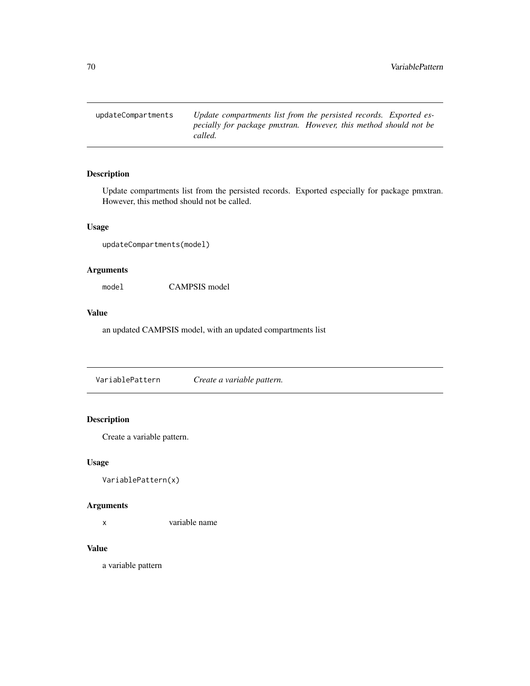updateCompartments *Update compartments list from the persisted records. Exported especially for package pmxtran. However, this method should not be called.*

# Description

Update compartments list from the persisted records. Exported especially for package pmxtran. However, this method should not be called.

#### Usage

updateCompartments(model)

#### Arguments

model CAMPSIS model

#### Value

an updated CAMPSIS model, with an updated compartments list

VariablePattern *Create a variable pattern.*

# Description

Create a variable pattern.

#### Usage

```
VariablePattern(x)
```
#### Arguments

x variable name

# Value

a variable pattern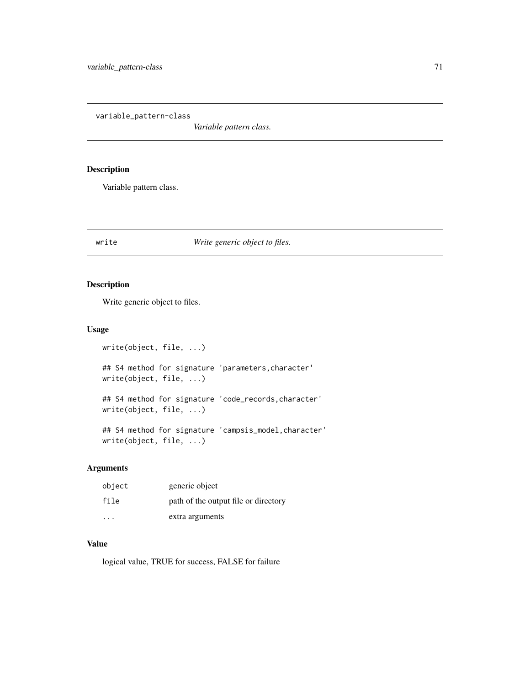variable\_pattern-class

*Variable pattern class.*

# Description

Variable pattern class.

# write *Write generic object to files.*

# Description

Write generic object to files.

# Usage

```
write(object, file, ...)
## S4 method for signature 'parameters,character'
write(object, file, ...)
## S4 method for signature 'code_records,character'
write(object, file, ...)
## S4 method for signature 'campsis_model, character'
write(object, file, ...)
```
#### Arguments

| object                  | generic object                       |
|-------------------------|--------------------------------------|
| file                    | path of the output file or directory |
| $\cdot$ $\cdot$ $\cdot$ | extra arguments                      |

### Value

logical value, TRUE for success, FALSE for failure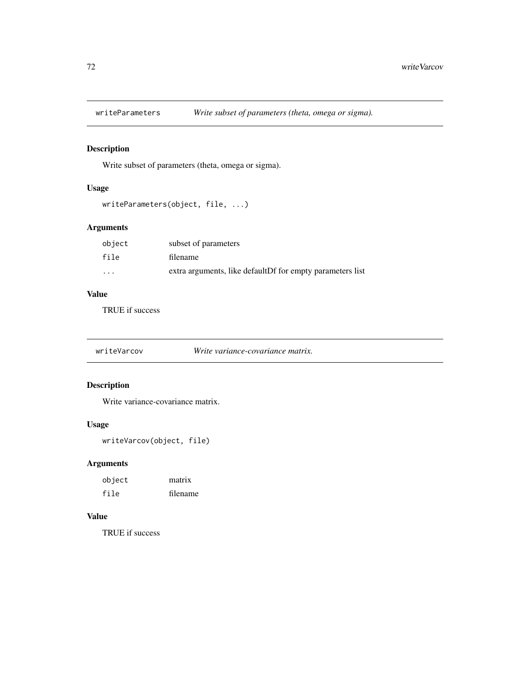Write subset of parameters (theta, omega or sigma).

# Usage

```
writeParameters(object, file, ...)
```
# Arguments

| object                  | subset of parameters                                       |
|-------------------------|------------------------------------------------------------|
| file                    | filename                                                   |
| $\cdot$ $\cdot$ $\cdot$ | extra arguments, like default Df for empty parameters list |

# Value

TRUE if success

writeVarcov *Write variance-covariance matrix.*

# Description

Write variance-covariance matrix.

# Usage

```
writeVarcov(object, file)
```
# Arguments

| object | matrix   |
|--------|----------|
| file   | filename |

#### Value

TRUE if success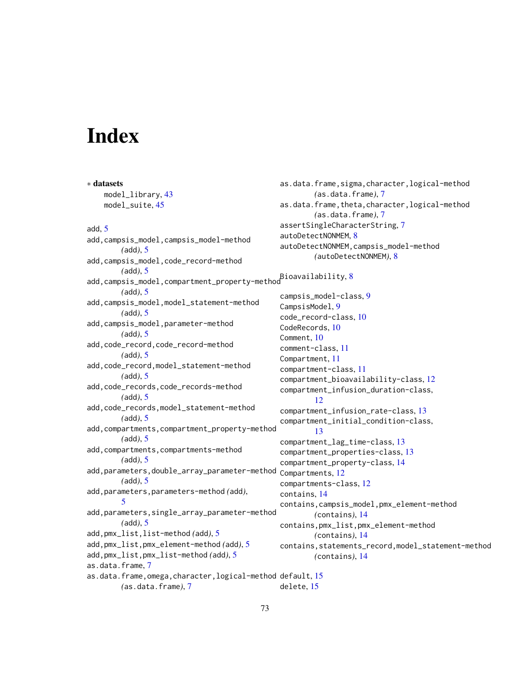## **Index**

∗ datasets model\_library, [43](#page-42-0) model\_suite, [45](#page-44-0) add, [5](#page-4-0) add,campsis\_model,campsis\_model-method *(*add*)*, [5](#page-4-0) add,campsis\_model,code\_record-method *(*add*)*, [5](#page-4-0) add,campsis\_model,compartment\_property-method Bioavailability, [8](#page-7-0) *(*add*)*, [5](#page-4-0) add,campsis\_model,model\_statement-method *(*add*)*, [5](#page-4-0) add,campsis\_model,parameter-method *(*add*)*, [5](#page-4-0) add,code\_record,code\_record-method *(*add*)*, [5](#page-4-0) add,code\_record,model\_statement-method *(*add*)*, [5](#page-4-0) add,code\_records,code\_records-method *(*add*)*, [5](#page-4-0) add,code\_records,model\_statement-method *(*add*)*, [5](#page-4-0) add,compartments,compartment\_property-method *(*add*)*, [5](#page-4-0) add,compartments,compartments-method *(*add*)*, [5](#page-4-0) add,parameters,double\_array\_parameter-method *(*add*)*, [5](#page-4-0) add,parameters,parameters-method *(*add*)*, [5](#page-4-0) add,parameters,single\_array\_parameter-method *(*add*)*, [5](#page-4-0) add,pmx\_list,list-method *(*add*)*, [5](#page-4-0) add,pmx\_list,pmx\_element-method *(*add*)*, [5](#page-4-0) add,pmx\_list,pmx\_list-method *(*add*)*, [5](#page-4-0) as.data.frame, [7](#page-6-0) as.data.frame, omega, character, logical-method default, [15](#page-14-0) *(*as.data.frame*)*, [7](#page-6-0) as.data.frame,sigma,character,logical-method *(*as.data.frame*)*, [7](#page-6-0) as.data.frame,theta,character,logical-method *(*as.data.frame*)*, [7](#page-6-0) assertSingleCharacterString, [7](#page-6-0) autoDetectNONMEM, [8](#page-7-0) autoDetectNONMEM,campsis\_model-method *(*autoDetectNONMEM*)*, [8](#page-7-0) campsis\_model-class, [9](#page-8-0) CampsisModel, [9](#page-8-0) code\_record-class, [10](#page-9-0) CodeRecords, [10](#page-9-0) Comment, [10](#page-9-0) comment-class, [11](#page-10-0) Compartment, [11](#page-10-0) compartment-class, [11](#page-10-0) compartment\_bioavailability-class, [12](#page-11-0) compartment\_infusion\_duration-class, [12](#page-11-0) compartment\_infusion\_rate-class, [13](#page-12-0) compartment\_initial\_condition-class, [13](#page-12-0) compartment\_lag\_time-class, [13](#page-12-0) compartment\_properties-class, [13](#page-12-0) compartment\_property-class, [14](#page-13-0) Compartments, [12](#page-11-0) compartments-class, [12](#page-11-0) contains, [14](#page-13-0) contains,campsis\_model,pmx\_element-method *(*contains*)*, [14](#page-13-0) contains,pmx\_list,pmx\_element-method *(*contains*)*, [14](#page-13-0) contains,statements\_record,model\_statement-method *(*contains*)*, [14](#page-13-0) delete, [15](#page-14-0)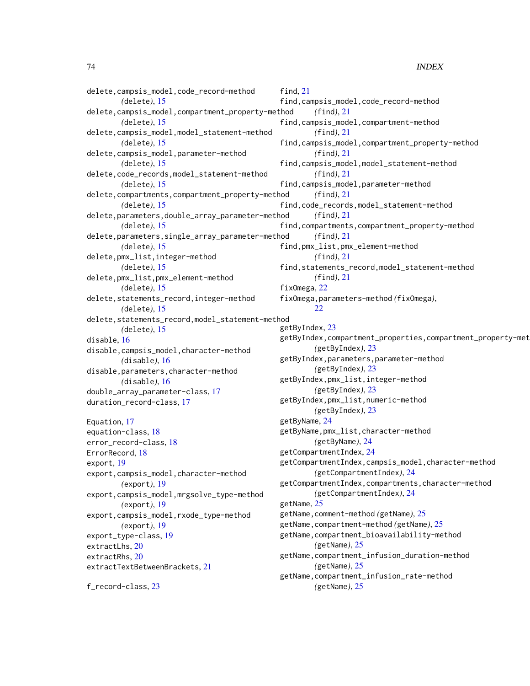```
delete,campsis_model,code_record-method
        (delete), 15
delete,campsis_model,compartment_property-method
        (delete), 15
delete,campsis_model,model_statement-method
        (delete), 15
delete,campsis_model,parameter-method
        (delete), 15
delete,code_records,model_statement-method
        (delete), 15
delete,compartments,compartment_property-method
        (delete), 15
delete,parameters,double_array_parameter-method
        (delete), 15
delete,parameters,single_array_parameter-method
        (delete), 15
delete,pmx_list,integer-method
        (delete), 15
delete,pmx_list,pmx_element-method
        (delete), 15
delete,statements_record,integer-method
        (delete), 15
delete,statements_record,model_statement-method
        (delete), 15
disable, 16
disable,campsis_model,character-method
        (disable), 16
disable,parameters,character-method
        (disable), 16
double_array_parameter-class, 17
duration_record-class, 17
Equation, 17
equation-class, 18
error_record-class, 18
ErrorRecord, 18
export, 19
export,campsis_model,character-method
        (export), 19
export,campsis_model,mrgsolve_type-method
        (export), 19
export,campsis_model,rxode_type-method
        (export), 19
export_type-class, 19
extractLhs, 20
extractRhs, 20
extractTextBetweenBrackets, 21
f_record-class, 23
                                               find, 21
                                               find,campsis_model,code_record-method
                                                       (find), 21
                                               find,campsis_model,compartment-method
                                                       (find), 21
                                               find,campsis_model,compartment_property-method
                                                       (find), 21
                                               find,campsis_model,model_statement-method
                                                       (find), 21
                                               find,campsis_model,parameter-method
                                                       (find), 21
                                               find,code_records,model_statement-method
                                                       (find), 21
                                               find,compartments,compartment_property-method
                                                       (find), 21
                                               find,pmx_list,pmx_element-method
                                                       (find), 21
                                               find,statements_record,model_statement-method
                                                       (find), 21
                                               fixOmega, 22
                                               fixOmega,parameters-method (fixOmega),
                                                       22
                                               getByIndex, 23
                                               getByIndex, compartment_properties, compartment_property-met
                                                       (getByIndex), 23
                                               getByIndex,parameters,parameter-method
                                                       (getByIndex), 23
                                               getByIndex,pmx_list,integer-method
                                                       (getByIndex), 23
                                               getByIndex,pmx_list,numeric-method
                                                       (getByIndex), 23
                                               getByName, 24
                                               getByName,pmx_list,character-method
                                                       (getByName), 24
                                               getCompartmentIndex, 24
                                               getCompartmentIndex,campsis_model,character-method
                                                       (getCompartmentIndex), 24
                                               getCompartmentIndex,compartments,character-method
                                                       (getCompartmentIndex), 24
                                               getName, 25
                                               getName,comment-method (getName), 25
                                               getName,compartment-method (getName), 25
                                               getName,compartment_bioavailability-method
                                                       (getName), 25
                                               getName,compartment_infusion_duration-method
                                                       (getName), 25
                                               getName,compartment_infusion_rate-method
                                                       (getName), 25
```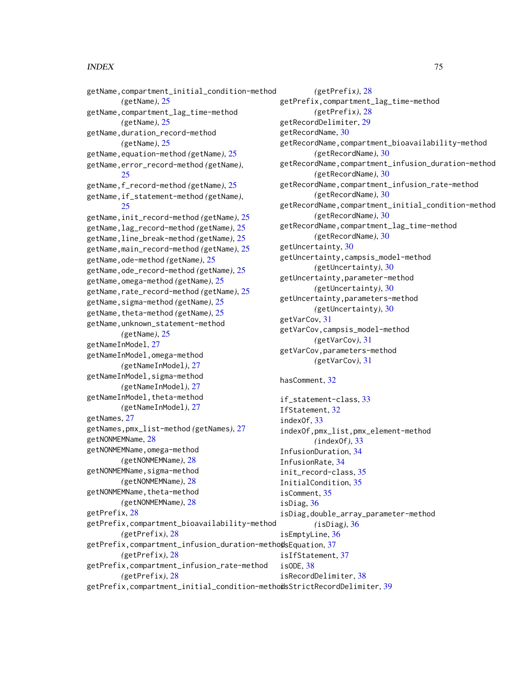## INDEX 75

getName,compartment\_initial\_condition-method *(*getName*)*, [25](#page-24-0) getName,compartment\_lag\_time-method *(*getName*)*, [25](#page-24-0) getName,duration\_record-method *(*getName*)*, [25](#page-24-0) getName,equation-method *(*getName*)*, [25](#page-24-0) getName,error\_record-method *(*getName*)*, [25](#page-24-0) getName,f\_record-method *(*getName*)*, [25](#page-24-0) getName,if\_statement-method *(*getName*)*, [25](#page-24-0) getName,init\_record-method *(*getName*)*, [25](#page-24-0) getName,lag\_record-method *(*getName*)*, [25](#page-24-0) getName,line\_break-method *(*getName*)*, [25](#page-24-0) getName,main\_record-method *(*getName*)*, [25](#page-24-0) getName,ode-method *(*getName*)*, [25](#page-24-0) getName,ode\_record-method *(*getName*)*, [25](#page-24-0) getName,omega-method *(*getName*)*, [25](#page-24-0) getName,rate\_record-method *(*getName*)*, [25](#page-24-0) getName,sigma-method *(*getName*)*, [25](#page-24-0) getName,theta-method *(*getName*)*, [25](#page-24-0) getName,unknown\_statement-method *(*getName*)*, [25](#page-24-0) getNameInModel, [27](#page-26-0) getNameInModel,omega-method *(*getNameInModel*)*, [27](#page-26-0) getNameInModel,sigma-method *(*getNameInModel*)*, [27](#page-26-0) getNameInModel, theta-method *(*getNameInModel*)*, [27](#page-26-0) getNames, [27](#page-26-0) getNames,pmx\_list-method *(*getNames*)*, [27](#page-26-0) getNONMEMName, [28](#page-27-0) getNONMEMName,omega-method *(*getNONMEMName*)*, [28](#page-27-0) getNONMEMName,sigma-method *(*getNONMEMName*)*, [28](#page-27-0) getNONMEMName, theta-method *(*getNONMEMName*)*, [28](#page-27-0) getPrefix, [28](#page-27-0) getPrefix,compartment\_bioavailability-method *(*getPrefix*)*, [28](#page-27-0) getPrefix,compartment\_infusion\_duration-metho**d**sEquation,[37](#page-36-0) *(*getPrefix*)*, [28](#page-27-0) getPrefix,compartment\_infusion\_rate-method *(*getPrefix*)*, [28](#page-27-0) getVarCov, [31](#page-30-0) hasComment, [32](#page-31-0) indexOf, [33](#page-32-0) isComment, [35](#page-34-0) isDiag, [36](#page-35-0) isODE, [38](#page-37-0)

*(*getPrefix*)*, [28](#page-27-0) getPrefix,compartment\_lag\_time-method *(*getPrefix*)*, [28](#page-27-0) getRecordDelimiter, [29](#page-28-0) getRecordName, [30](#page-29-0) getRecordName,compartment\_bioavailability-method *(*getRecordName*)*, [30](#page-29-0) getRecordName,compartment\_infusion\_duration-method *(*getRecordName*)*, [30](#page-29-0) getRecordName,compartment\_infusion\_rate-method *(*getRecordName*)*, [30](#page-29-0) getRecordName,compartment\_initial\_condition-method *(*getRecordName*)*, [30](#page-29-0) getRecordName,compartment\_lag\_time-method *(*getRecordName*)*, [30](#page-29-0) getUncertainty, [30](#page-29-0) getUncertainty,campsis\_model-method *(*getUncertainty*)*, [30](#page-29-0) getUncertainty,parameter-method *(*getUncertainty*)*, [30](#page-29-0) getUncertainty,parameters-method *(*getUncertainty*)*, [30](#page-29-0) getVarCov,campsis\_model-method *(*getVarCov*)*, [31](#page-30-0) getVarCov,parameters-method *(*getVarCov*)*, [31](#page-30-0)

getPrefix,compartment\_initial\_condition-metho**i**sStrictRecordDelimiter,[39](#page-38-0) if\_statement-class, [33](#page-32-0) IfStatement, [32](#page-31-0) indexOf,pmx\_list,pmx\_element-method *(*indexOf*)*, [33](#page-32-0) InfusionDuration, [34](#page-33-0) InfusionRate, [34](#page-33-0) init\_record-class, [35](#page-34-0) InitialCondition, [35](#page-34-0) isDiag,double\_array\_parameter-method *(*isDiag*)*, [36](#page-35-0) isEmptyLine, [36](#page-35-0) isIfStatement, [37](#page-36-0) isRecordDelimiter, [38](#page-37-0)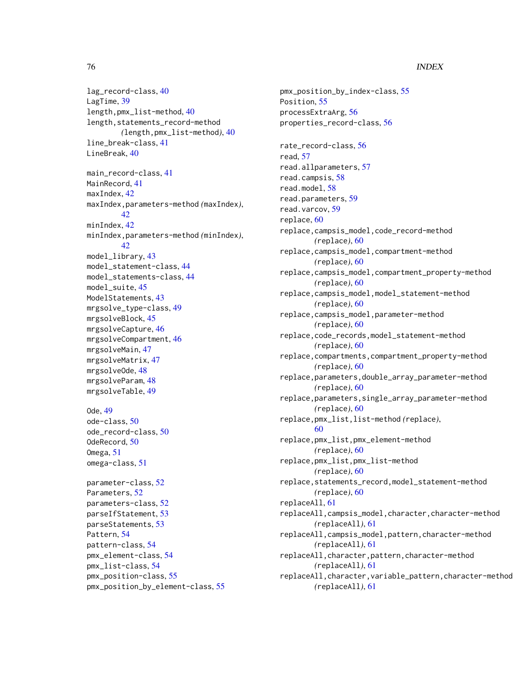## 76 INDEX

lag\_record-class, [40](#page-39-0) LagTime, [39](#page-38-0) length,pmx\_list-method, [40](#page-39-0) length, statements\_record-method *(*length,pmx\_list-method*)*, [40](#page-39-0) line\_break-class, [41](#page-40-0) LineBreak, [40](#page-39-0) main\_record-class, [41](#page-40-0) MainRecord, [41](#page-40-0) maxIndex, [42](#page-41-0) maxIndex,parameters-method *(*maxIndex*)*, [42](#page-41-0) minIndex, [42](#page-41-0) minIndex,parameters-method *(*minIndex*)*, [42](#page-41-0) model\_library, [43](#page-42-0) model\_statement-class, [44](#page-43-0) model\_statements-class, [44](#page-43-0) model\_suite, [45](#page-44-0) ModelStatements, [43](#page-42-0) mrgsolve\_type-class, [49](#page-48-0) mrgsolveBlock, [45](#page-44-0) mrgsolveCapture, [46](#page-45-0) mrgsolveCompartment, [46](#page-45-0) mrgsolveMain, [47](#page-46-0) mrgsolveMatrix, [47](#page-46-0) mrgsolveOde, [48](#page-47-0) mrgsolveParam, [48](#page-47-0) mrgsolveTable, [49](#page-48-0) Ode, [49](#page-48-0) ode-class, [50](#page-49-0) ode\_record-class, [50](#page-49-0) OdeRecord, [50](#page-49-0) Omega, [51](#page-50-0) omega-class, [51](#page-50-0) parameter-class, [52](#page-51-0) Parameters, [52](#page-51-0) parameters-class, [52](#page-51-0) parseIfStatement, [53](#page-52-0) parseStatements, [53](#page-52-0) Pattern, [54](#page-53-0) pattern-class, [54](#page-53-0) pmx\_element-class, [54](#page-53-0) pmx\_list-class, [54](#page-53-0) pmx\_position-class, [55](#page-54-0) pmx\_position\_by\_element-class, [55](#page-54-0)

pmx\_position\_by\_index-class, [55](#page-54-0) Position, [55](#page-54-0) processExtraArg, [56](#page-55-0) properties\_record-class, [56](#page-55-0) rate\_record-class, [56](#page-55-0) read, [57](#page-56-0) read.allparameters, [57](#page-56-0) read.campsis, [58](#page-57-0) read.model, [58](#page-57-0) read.parameters, [59](#page-58-0) read.varcov, [59](#page-58-0) replace, [60](#page-59-0) replace,campsis\_model,code\_record-method *(*replace*)*, [60](#page-59-0) replace,campsis\_model,compartment-method *(*replace*)*, [60](#page-59-0) replace,campsis\_model,compartment\_property-method *(*replace*)*, [60](#page-59-0) replace,campsis\_model,model\_statement-method *(*replace*)*, [60](#page-59-0) replace,campsis\_model,parameter-method *(*replace*)*, [60](#page-59-0) replace,code\_records,model\_statement-method *(*replace*)*, [60](#page-59-0) replace,compartments,compartment\_property-method *(*replace*)*, [60](#page-59-0) replace,parameters,double\_array\_parameter-method *(*replace*)*, [60](#page-59-0) replace,parameters,single\_array\_parameter-method *(*replace*)*, [60](#page-59-0) replace,pmx\_list,list-method *(*replace*)*, [60](#page-59-0) replace,pmx\_list,pmx\_element-method *(*replace*)*, [60](#page-59-0) replace,pmx\_list,pmx\_list-method *(*replace*)*, [60](#page-59-0) replace,statements\_record,model\_statement-method *(*replace*)*, [60](#page-59-0) replaceAll, [61](#page-60-0) replaceAll,campsis\_model,character,character-method *(*replaceAll*)*, [61](#page-60-0) replaceAll,campsis\_model,pattern,character-method *(*replaceAll*)*, [61](#page-60-0) replaceAll,character,pattern,character-method *(*replaceAll*)*, [61](#page-60-0) replaceAll,character,variable\_pattern,character-method *(*replaceAll*)*, [61](#page-60-0)